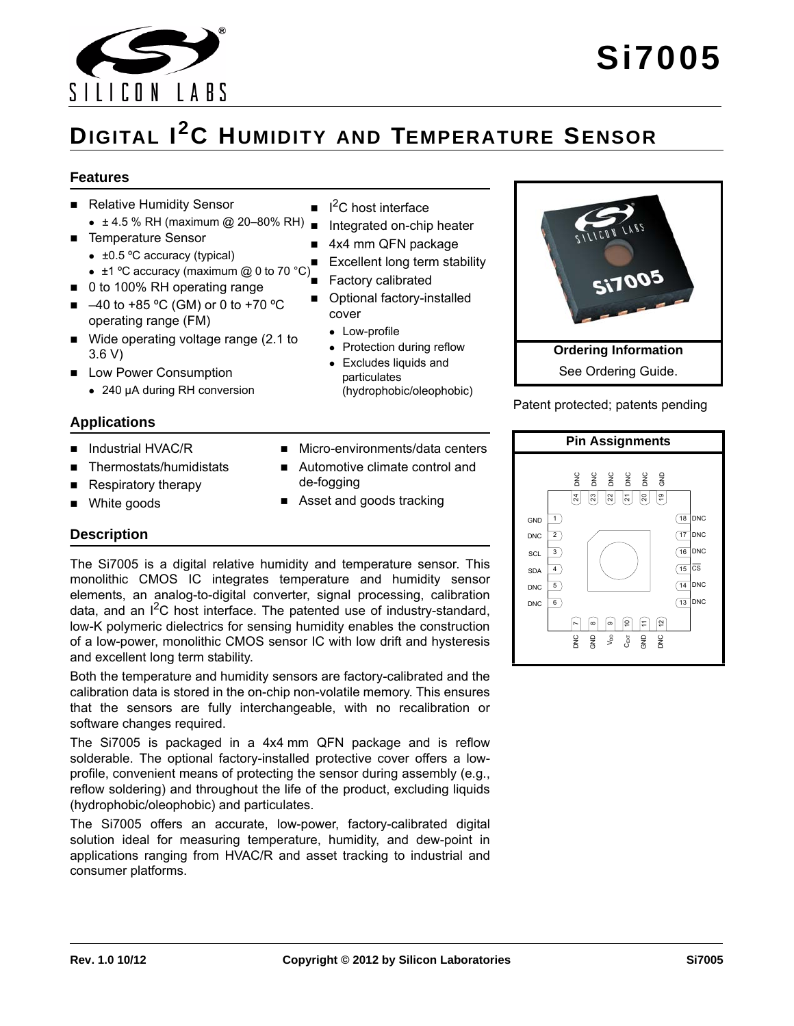

# **DIGITAL I2C HUMIDITY AND TEMPERATURE SENSOR**

#### **Features**

- Relative Humidity Sensor
	- $\bullet$  ± 4.5 % RH (maximum @ 20-80% RH) ■
- Temperature Sensor
	- $\bullet$  ±0.5 °C accuracy (typical)
	- $\bullet$  ±0.5 C accuracy (maximum @ 0 to 70 °C)
- 0 to 100% RH operating range
- $\blacksquare$  -40 to +85 °C (GM) or 0 to +70 °C operating range (FM)
- Wide operating voltage range (2.1 to 3.6 V)
- **Low Power Consumption** 
	- 240 µA during RH conversion

#### **Applications**

- Industrial HVAC/R
- Thermostats/humidistats
- Respiratory therapy
- White goods

#### **Description**

The Si7005 is a digital relative humidity and temperature sensor. This monolithic CMOS IC integrates temperature and humidity sensor elements, an analog-to-digital converter, signal processing, calibration data, and an  $I^2C$  host interface. The patented use of industry-standard, low-K polymeric dielectrics for sensing humidity enables the construction of a low-power, monolithic CMOS sensor IC with low drift and hysteresis and excellent long term stability.

Both the temperature and humidity sensors are factory-calibrated and the calibration data is stored in the on-chip non-volatile memory. This ensures that the sensors are fully interchangeable, with no recalibration or software changes required.

The Si7005 is packaged in a 4x4 mm QFN package and is reflow solderable. The optional factory-installed protective cover offers a lowprofile, convenient means of protecting the sensor during assembly (e.g., reflow soldering) and throughout the life of the product, excluding liquids (hydrophobic/oleophobic) and particulates.

The Si7005 offers an accurate, low-power, factory-calibrated digital solution ideal for measuring temperature, humidity, and dew-point in applications ranging from HVAC/R and asset tracking to industrial and consumer platforms.

- $\blacksquare$  I<sup>2</sup>C host interface
- Integrated on-chip heater
- 4x4 mm QFN package
- Excellent long term stability
- Factory calibrated
- **Department Optional factory-installed** cover
	- Low-profile
	- Protection during reflow
	- Excludes liquids and particulates (hydrophobic/oleophobic)
- Micro-environments/data centers
- Automotive climate control and de-fogging
- Asset and goods tracking



Patent protected; patents pending

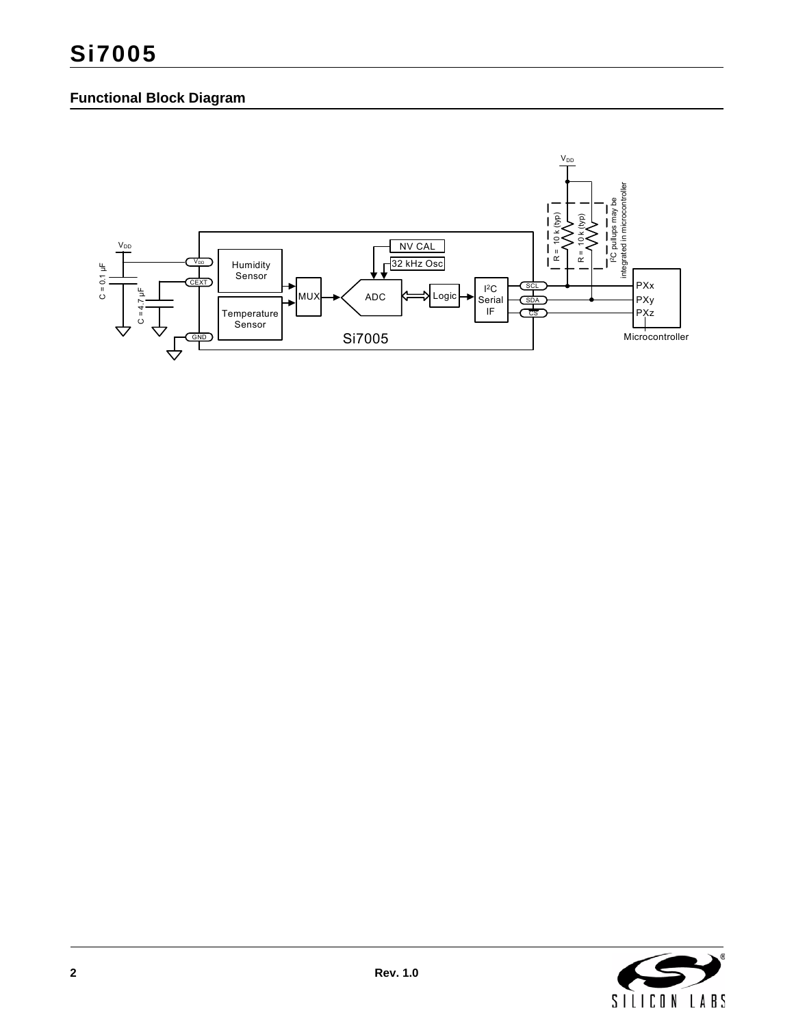# **Functional Block Diagram**



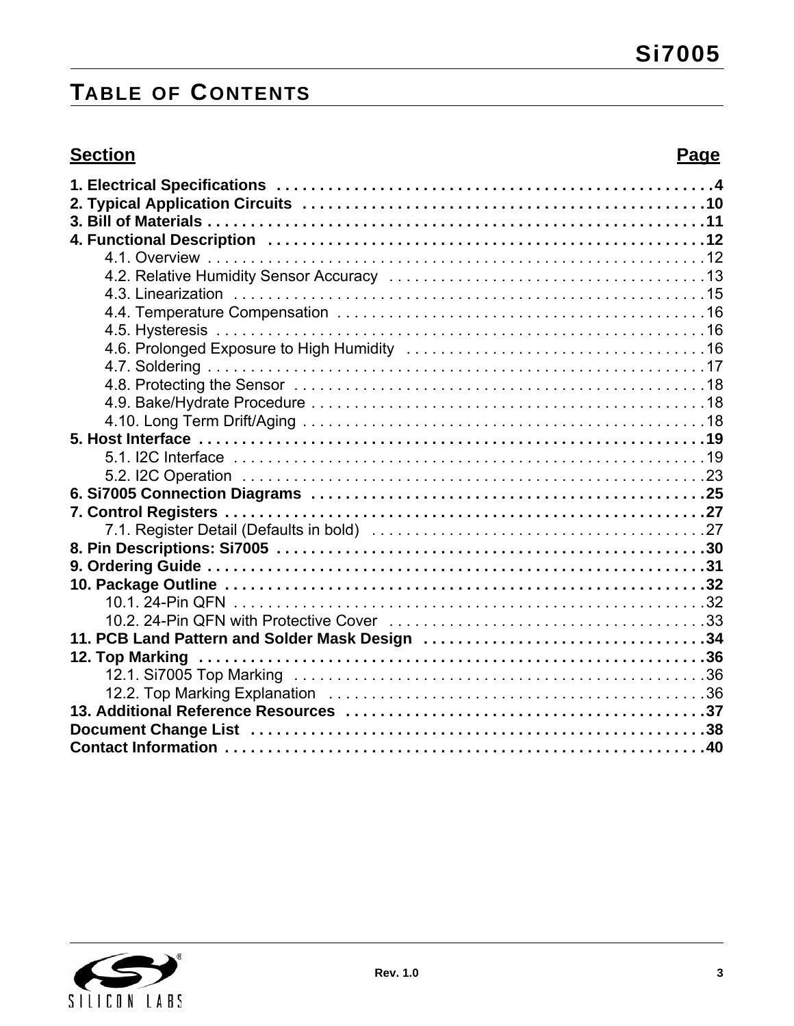# **TABLE OF CONTENTS**

# **Section Page**

| 11. PCB Land Pattern and Solder Mask Design 34 |  |
|------------------------------------------------|--|
|                                                |  |
|                                                |  |
|                                                |  |
|                                                |  |
|                                                |  |
|                                                |  |

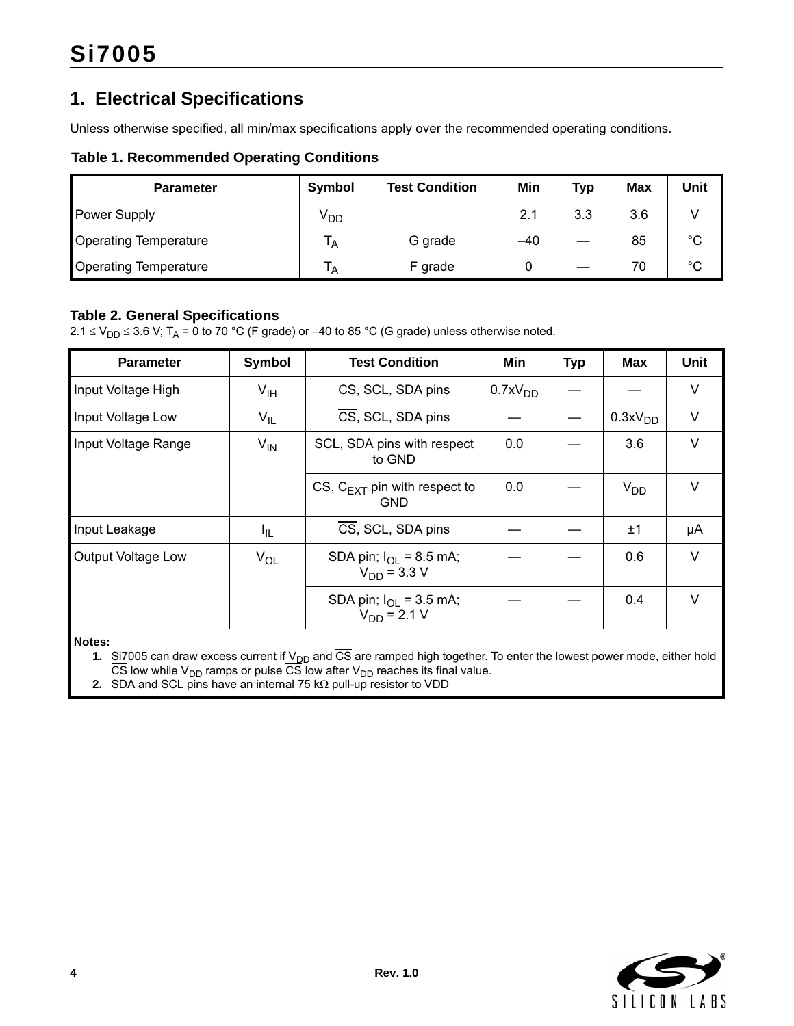# <span id="page-3-0"></span>**1. Electrical Specifications**

Unless otherwise specified, all min/max specifications apply over the recommended operating conditions.

#### **Table 1. Recommended Operating Conditions**

| <b>Parameter</b>             | Symbol          | <b>Test Condition</b> | Min   | <b>Typ</b> | Max | Unit        |
|------------------------------|-----------------|-----------------------|-------|------------|-----|-------------|
| <b>Power Supply</b>          | V <sub>DD</sub> |                       | 2.1   | 3.3        | 3.6 |             |
| <b>Operating Temperature</b> | A               | G grade               | $-40$ |            | 85  | $^{\circ}C$ |
| <b>Operating Temperature</b> | ١A              | F grade               |       |            | 70  | $^{\circ}C$ |

#### <span id="page-3-1"></span>**Table 2. General Specifications**

 $2.1 \le V_{DD} \le 3.6$  V; T<sub>A</sub> = 0 to 70 °C (F grade) or –40 to 85 °C (G grade) unless otherwise noted.

| <b>Parameter</b>    | <b>Symbol</b>   | <b>Test Condition</b>                                           | Min                 | <b>Typ</b> | <b>Max</b>          | <b>Unit</b> |
|---------------------|-----------------|-----------------------------------------------------------------|---------------------|------------|---------------------|-------------|
| Input Voltage High  | $V_{\text{IH}}$ | CS, SCL, SDA pins                                               | 0.7xV <sub>DD</sub> |            |                     | V           |
| Input Voltage Low   | $V_{IL}$        | CS, SCL, SDA pins                                               |                     |            | 0.3xV <sub>DD</sub> | V           |
| Input Voltage Range | $V_{IN}$        | SCL, SDA pins with respect<br>to GND                            | 0.0                 |            | 3.6                 | V           |
|                     |                 | CS, $C_{EXT}$ pin with respect to<br><b>GND</b>                 | 0.0                 |            | V <sub>DD</sub>     | V           |
| Input Leakage       | ΙL.             | CS, SCL, SDA pins                                               |                     |            | ±1                  | μA          |
| Output Voltage Low  | $V_{OL}$        | SDA pin; $I_{\text{O1}} = 8.5 \text{ mA}$ ;<br>$V_{DD}$ = 3.3 V |                     |            | 0.6                 | V           |
|                     |                 | SDA pin; $I_{\text{OI}} = 3.5 \text{ mA}$ ;<br>$V_{DD} = 2.1 V$ |                     |            | 0.4                 | V           |

**Notes:**

1. Si7005 can draw excess current if V<sub>DD</sub> and CS are ramped high together. To enter the lowest power mode, either hold CS low while  $\mathsf{V}_{\mathsf{DD}}$  ramps or pulse CS low after  $\mathsf{V}_{\mathsf{DD}}$  reaches its final value.

**2.** SDA and SCL pins have an internal 75 k $\Omega$  pull-up resistor to VDD

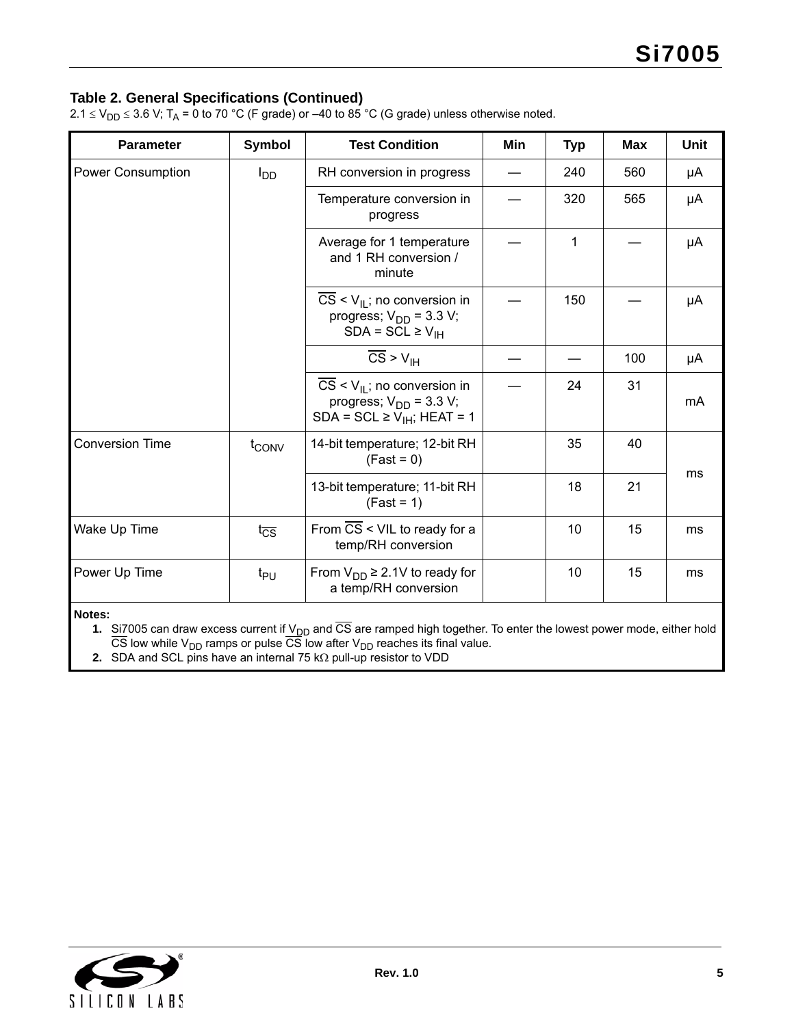#### **Table 2. General Specifications (Continued)**

2.1  $\leq$  V<sub>DD</sub>  $\leq$  3.6 V; T<sub>A</sub> = 0 to 70 °C (F grade) or –40 to 85 °C (G grade) unless otherwise noted.

| <b>Parameter</b>         | <b>Symbol</b>              | <b>Test Condition</b>                                                                                                 | Min | <b>Typ</b> | <b>Max</b> | <b>Unit</b> |
|--------------------------|----------------------------|-----------------------------------------------------------------------------------------------------------------------|-----|------------|------------|-------------|
| <b>Power Consumption</b> | $I_{DD}$                   | RH conversion in progress                                                                                             |     | 240        | 560        | μA          |
|                          |                            | Temperature conversion in<br>progress                                                                                 |     | 320        | 565        | μA          |
|                          |                            | Average for 1 temperature<br>and 1 RH conversion /<br>minute                                                          |     | 1          |            | μA          |
|                          |                            | $CS < V_{II}$ ; no conversion in<br>progress; $V_{DD}$ = 3.3 V;<br>$SDA = SCL \ge V_{IH}$                             |     | 150        |            | μA          |
|                          |                            | $\overline{\text{CS}}$ > $V_{\text{IH}}$                                                                              |     |            | 100        | μA          |
|                          |                            | $CS < V_{\parallel}$ ; no conversion in<br>progress; $V_{DD}$ = 3.3 V;<br>SDA = SCL $\geq$ V <sub>IH</sub> ; HEAT = 1 |     | 24         | 31         | mA          |
| <b>Conversion Time</b>   | t <sub>CONV</sub>          | 14-bit temperature; 12-bit RH<br>$(Fast = 0)$                                                                         |     | 35         | 40         |             |
|                          |                            | 13-bit temperature; 11-bit RH<br>$(Fast = 1)$                                                                         |     | 18         | 21         | ms          |
| Wake Up Time             | $t_{\overline{\text{CS}}}$ | From CS < VIL to ready for a<br>temp/RH conversion                                                                    |     | 10         | 15         | ms          |
| Power Up Time            | t <sub>PU</sub>            | From $V_{DD} \geq 2.1V$ to ready for<br>a temp/RH conversion                                                          |     | 10         | 15         | ms          |
|                          |                            |                                                                                                                       |     |            |            |             |

**Notes:**

1. Si7005 can draw excess current if V<sub>DD</sub> and CS are ramped high together. To enter the lowest power mode, either hold

CS low while  $\mathsf{V}_{\mathsf{DD}}$  ramps or pulse CS low after  $\mathsf{V}_{\mathsf{DD}}$  reaches its final value. **2.** SDA and SCL pins have an internal 75 k $\Omega$  pull-up resistor to VDD

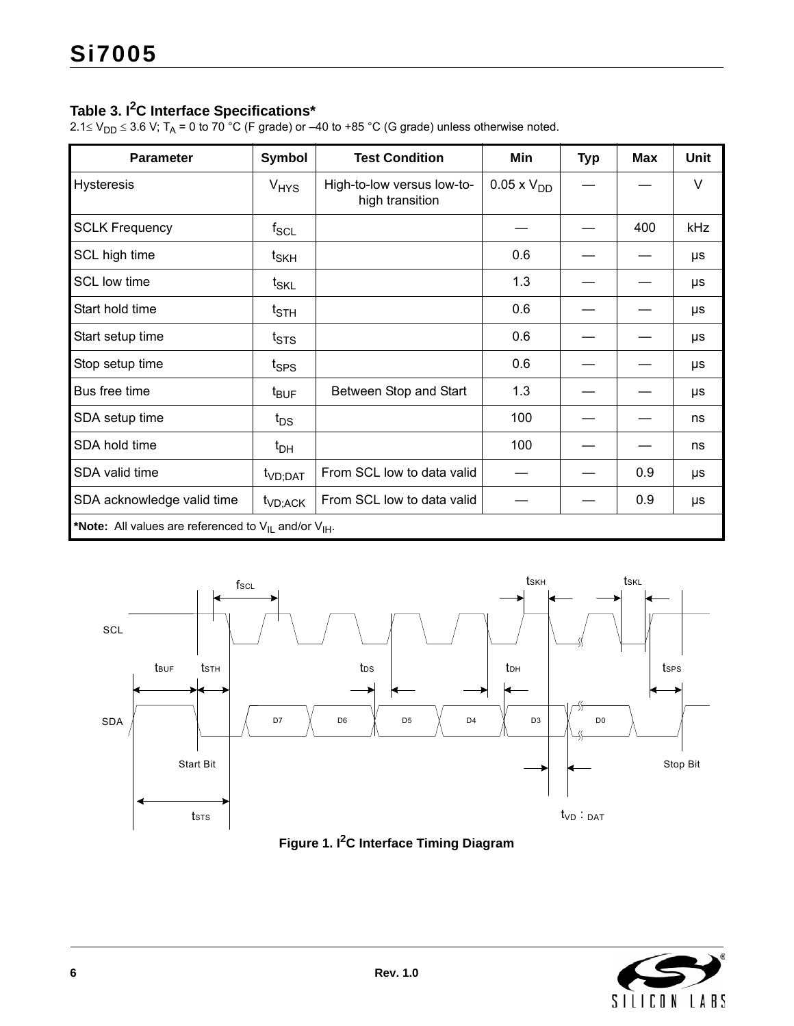### **Table 3. I2C Interface Specifications\***

2.1 $\le$  V<sub>DD</sub>  $\le$  3.6 V; T<sub>A</sub> = 0 to 70 °C (F grade) or –40 to +85 °C (G grade) unless otherwise noted.

| <b>Parameter</b>                                               | <b>Symbol</b>                | <b>Test Condition</b>                         | Min               | <b>Typ</b> | <b>Max</b> | <b>Unit</b> |
|----------------------------------------------------------------|------------------------------|-----------------------------------------------|-------------------|------------|------------|-------------|
| <b>Hysteresis</b>                                              | V <sub>HYS</sub>             | High-to-low versus low-to-<br>high transition | $0.05 \times VDD$ |            |            | V           |
| <b>SCLK Frequency</b>                                          | $f_{\rm SCL}$                |                                               |                   |            | 400        | kHz         |
| SCL high time                                                  | $t_{\mathsf{SKH}}$           |                                               | 0.6               |            |            | μs          |
| <b>SCL low time</b>                                            | $t_{\mathsf{SKL}}$           |                                               | 1.3               |            |            | μs          |
| Start hold time                                                | $t_{\scriptstyle\text{STH}}$ |                                               | 0.6               |            |            | μs          |
| Start setup time                                               | $t_{\text{STS}}$             |                                               | 0.6               |            |            | μs          |
| Stop setup time                                                | t <sub>SPS</sub>             |                                               | 0.6               |            |            | μs          |
| Bus free time                                                  | $t_{\text{BUF}}$             | Between Stop and Start                        | 1.3               |            |            | μs          |
| SDA setup time                                                 | $t_{DS}$                     |                                               | 100               |            |            | ns          |
| SDA hold time                                                  | $t_{DH}$                     |                                               | 100               |            |            | ns          |
| SDA valid time                                                 | t <sub>VD;DAT</sub>          | From SCL low to data valid                    |                   |            | 0.9        | μs          |
| SDA acknowledge valid time                                     | t <sub>VD;ACK</sub>          | From SCL low to data valid                    |                   |            | 0.9        | μs          |
| *Note: All values are referenced to $V_{II}$ and/or $V_{II}$ . |                              |                                               |                   |            |            |             |





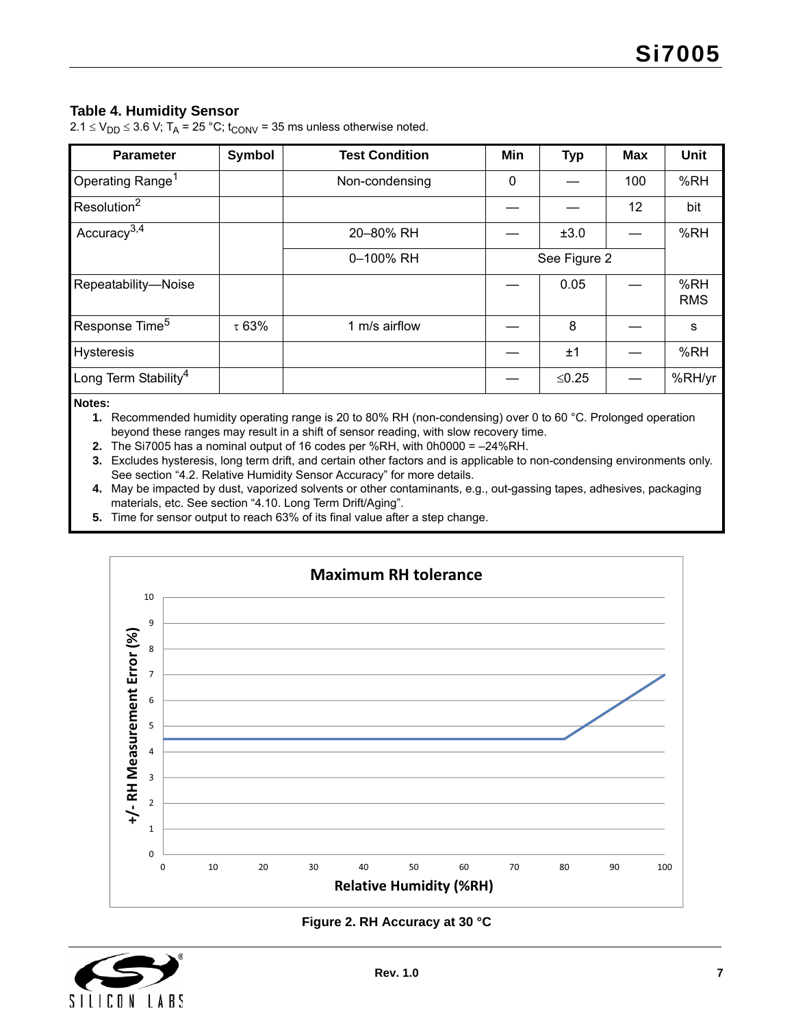#### <span id="page-6-6"></span>**Table 4. Humidity Sensor**

 $2.1 \le V_{DD} \le 3.6$  V; T<sub>A</sub> = 25 °C; t<sub>CONV</sub> = 35 ms unless otherwise noted.

| <b>Parameter</b>                 | Symbol | <b>Test Condition</b> | Min | <b>Typ</b>   | <b>Max</b> | <b>Unit</b>       |
|----------------------------------|--------|-----------------------|-----|--------------|------------|-------------------|
| Operating Range <sup>1</sup>     |        | Non-condensing        | 0   |              | 100        | %RH               |
| Resolution <sup>2</sup>          |        |                       |     |              | 12         | bit               |
| Accuracy $3,4$                   |        | 20-80% RH             |     | ±3.0         |            | %RH               |
|                                  |        | 0-100% RH             |     | See Figure 2 |            |                   |
| Repeatability-Noise              |        |                       |     | 0.05         |            | %RH<br><b>RMS</b> |
| Response Time <sup>5</sup>       | τ 63%  | 1 m/s airflow         |     | 8            |            | S                 |
| <b>Hysteresis</b>                |        |                       |     | $+1$         |            | %RH               |
| Long Term Stability <sup>4</sup> |        |                       |     | ≤0.25        |            | %RH/yr            |

#### <span id="page-6-1"></span>**Notes:**

**1.** Recommended humidity operating range is 20 to 80% RH (non-condensing) over 0 to 60 °C. Prolonged operation beyond these ranges may result in a shift of sensor reading, with slow recovery time.

<span id="page-6-5"></span>**2.** The Si7005 has a nominal output of 16 codes per %RH, with 0h0000 = –24%RH.

<span id="page-6-2"></span>**3.** Excludes hysteresis, long term drift, and certain other factors and is applicable to non-condensing environments only. See section ["4.2. Relative Humidity Sensor Accuracy"](#page-12-0) for more details.

<span id="page-6-3"></span>**4.** May be impacted by dust, vaporized solvents or other contaminants, e.g., out-gassing tapes, adhesives, packaging materials, etc. See section ["4.10. Long Term Drift/Aging".](#page-17-2)

<span id="page-6-4"></span>**5.** Time for sensor output to reach 63% of its final value after a step change.



#### **Figure 2. RH Accuracy at 30 °C**

<span id="page-6-0"></span>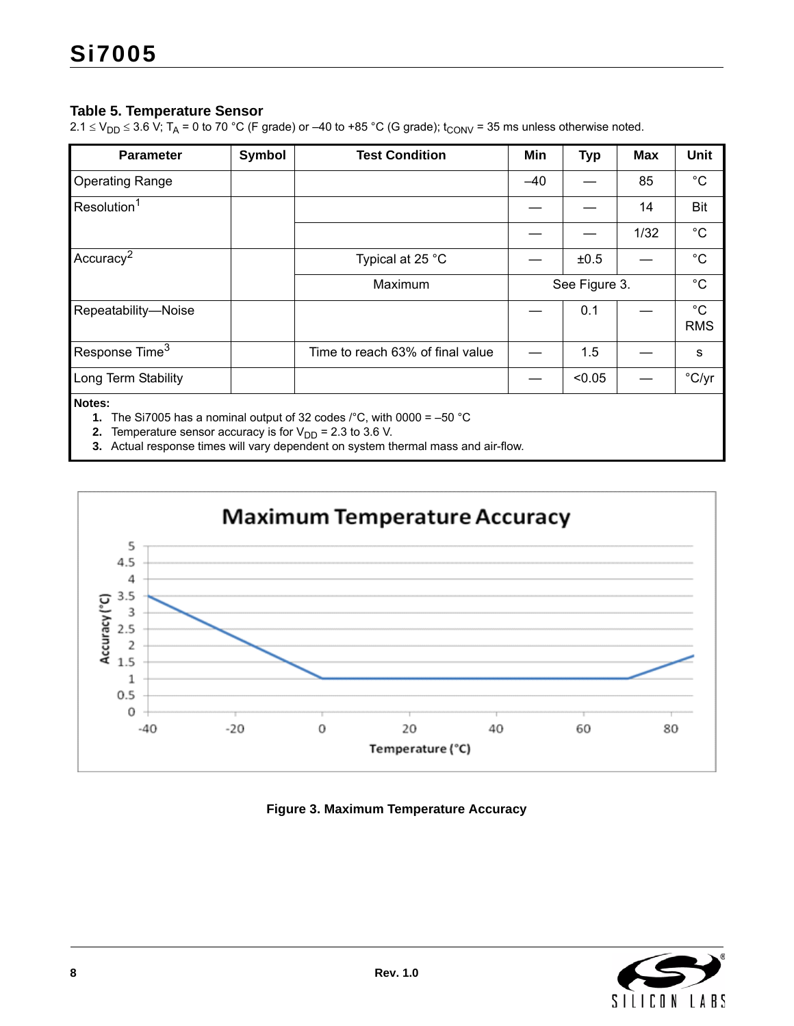#### <span id="page-7-4"></span>**Table 5. Temperature Sensor**

 $2.1 \le V_{DD} \le 3.6$  V; T<sub>A</sub> = 0 to 70 °C (F grade) or –40 to +85 °C (G grade); t<sub>CONV</sub> = 35 ms unless otherwise noted.

| <b>Parameter</b>           | <b>Symbol</b> | <b>Test Condition</b>            | Min   | <b>Typ</b>    | <b>Max</b> | Unit                      |
|----------------------------|---------------|----------------------------------|-------|---------------|------------|---------------------------|
| <b>Operating Range</b>     |               |                                  | $-40$ |               | 85         | $^{\circ}C$               |
| Resolution <sup>1</sup>    |               |                                  |       |               | 14         | <b>Bit</b>                |
|                            |               |                                  |       |               | 1/32       | $^{\circ}C$               |
| Accuracy <sup>2</sup>      |               | Typical at 25 °C                 |       | ±0.5          |            | $^{\circ}C$               |
|                            |               | Maximum                          |       | See Figure 3. |            | $^{\circ}C$               |
| Repeatability-Noise        |               |                                  |       | 0.1           |            | $^{\circ}C$<br><b>RMS</b> |
| Response Time <sup>3</sup> |               | Time to reach 63% of final value |       | 1.5           |            | s                         |
| Long Term Stability        |               |                                  |       | < 0.05        |            | °C/yr                     |
| Notes:                     |               |                                  |       |               |            |                           |

<span id="page-7-0"></span>**1.** The Si7005 has a nominal output of 32 codes /°C, with 0000 = –50 °C

<span id="page-7-1"></span>**2.** Temperature sensor accuracy is for  $V_{DD} = 2.3$  to 3.6 V.

<span id="page-7-3"></span>**3.** Actual response times will vary dependent on system thermal mass and air-flow.



#### <span id="page-7-2"></span>**Figure 3. Maximum Temperature Accuracy**

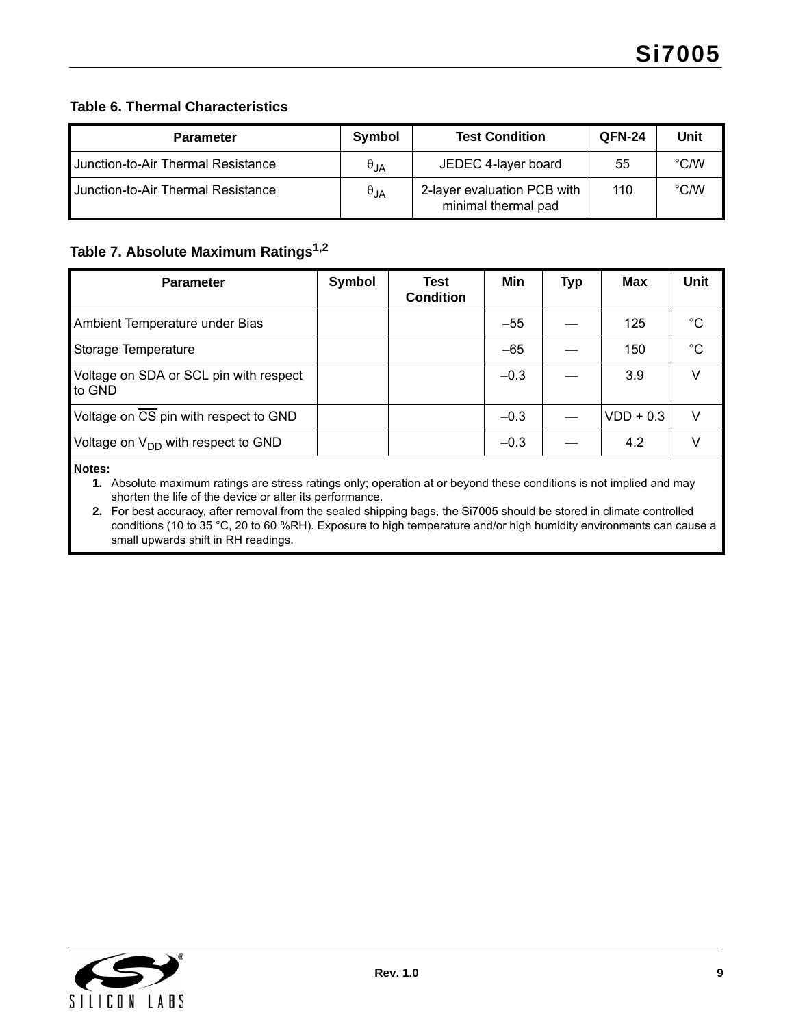### <span id="page-8-3"></span>**Table 6. Thermal Characteristics**

| <b>Parameter</b>                   | Symbol        | <b>Test Condition</b>                              | <b>QFN-24</b> | Unit          |
|------------------------------------|---------------|----------------------------------------------------|---------------|---------------|
| Junction-to-Air Thermal Resistance | $\theta$ .JA  | JEDEC 4-layer board                                | 55            | $\degree$ C/W |
| Uunction-to-Air Thermal Resistance | $\theta_{JA}$ | 2-layer evaluation PCB with<br>minimal thermal pad | 110           | $\degree$ C/W |

### <span id="page-8-2"></span>**Table 7. Absolute Maximum Ratings[1](#page-8-0),[2](#page-8-1)**

| <b>Symbol</b> | Test<br><b>Condition</b> | Min    | <b>Typ</b> | Max         | Unit        |
|---------------|--------------------------|--------|------------|-------------|-------------|
|               |                          | $-55$  |            | 125         | $^{\circ}C$ |
|               |                          | $-65$  |            | 150         | $^{\circ}C$ |
|               |                          | $-0.3$ |            | 3.9         | V           |
|               |                          | $-0.3$ |            | $VDD + 0.3$ | V           |
|               |                          | $-0.3$ |            | 4.2         | V           |
|               |                          |        |            |             |             |

<span id="page-8-0"></span>**Notes:**

**1.** Absolute maximum ratings are stress ratings only; operation at or beyond these conditions is not implied and may shorten the life of the device or alter its performance.

<span id="page-8-1"></span>**2.** For best accuracy, after removal from the sealed shipping bags, the Si7005 should be stored in climate controlled conditions (10 to 35 °C, 20 to 60 %RH). Exposure to high temperature and/or high humidity environments can cause a small upwards shift in RH readings.

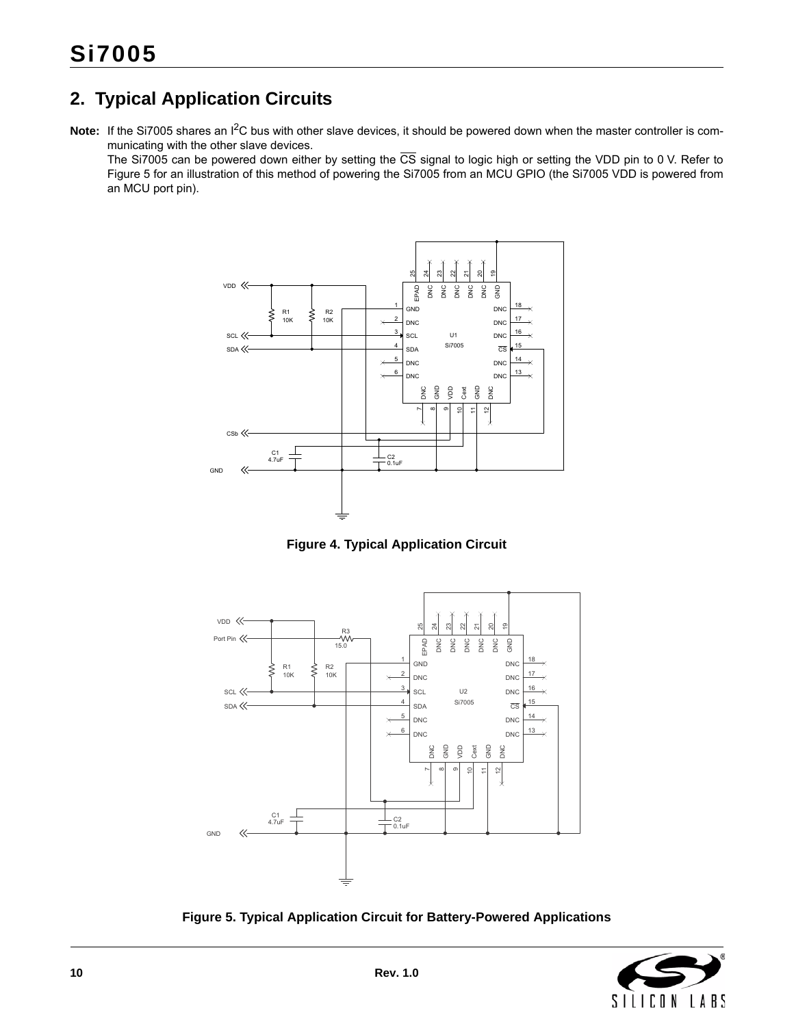# <span id="page-9-0"></span>**2. Typical Application Circuits**

Note: If the Si7005 shares an I<sup>2</sup>C bus with other slave devices, it should be powered down when the master controller is communicating with the other slave devices.

The Si7005 can be powered down either by setting the  $\overline{CS}$  signal to logic high or setting the VDD pin to 0 V. Refer to [Figure 5](#page-9-1) for an illustration of this method of powering the Si7005 from an MCU GPIO (the Si7005 VDD is powered from an MCU port pin).



**Figure 4. Typical Application Circuit**



<span id="page-9-1"></span>**Figure 5. Typical Application Circuit for Battery-Powered Applications**

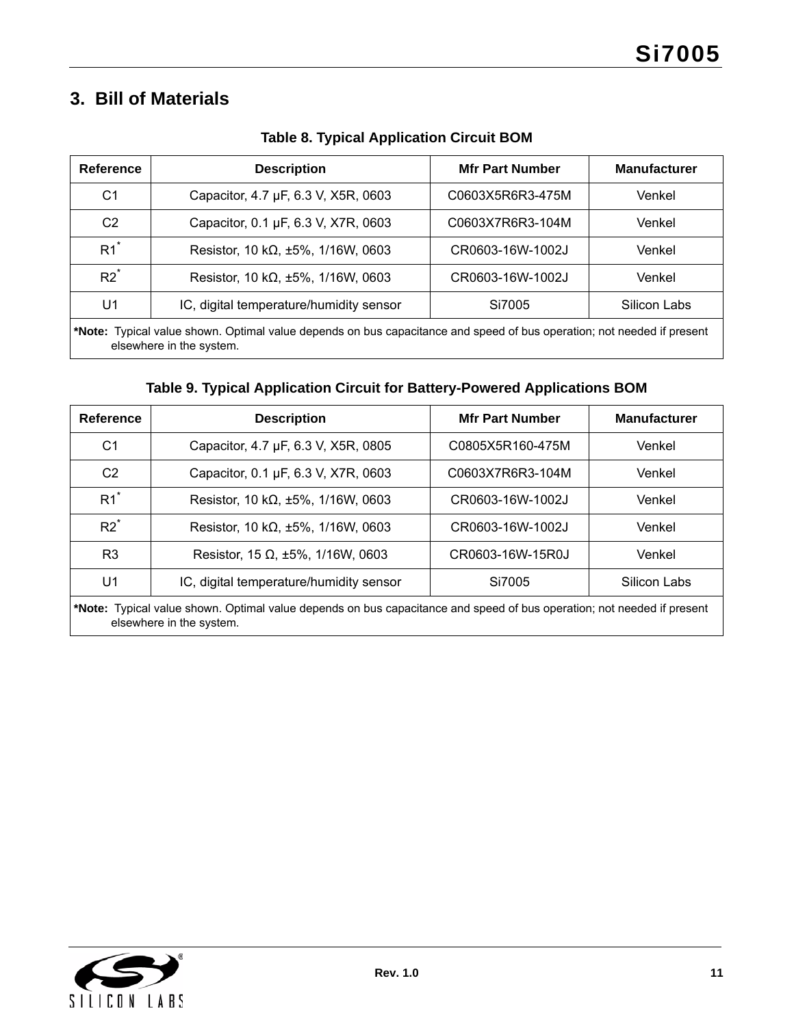# <span id="page-10-0"></span>**3. Bill of Materials**

| Reference                                                                                                                                          | <b>Description</b>                         | <b>Mfr Part Number</b> | <b>Manufacturer</b> |  |
|----------------------------------------------------------------------------------------------------------------------------------------------------|--------------------------------------------|------------------------|---------------------|--|
| C1                                                                                                                                                 | Capacitor, 4.7 µF, 6.3 V, X5R, 0603        | C0603X5R6R3-475M       | Venkel              |  |
| C <sub>2</sub>                                                                                                                                     | Capacitor, 0.1 µF, 6.3 V, X7R, 0603        | C0603X7R6R3-104M       | Venkel              |  |
| $R1^*$                                                                                                                                             | Resistor, 10 k $\Omega$ , ±5%, 1/16W, 0603 | CR0603-16W-1002J       | Venkel              |  |
| $R2^*$<br>Resistor, 10 k $\Omega$ , ±5%, 1/16W, 0603<br>CR0603-16W-1002J                                                                           |                                            | Venkel                 |                     |  |
| IC, digital temperature/humidity sensor<br>U1<br>Silicon Labs<br>Si7005                                                                            |                                            |                        |                     |  |
| *Note: Typical value shown. Optimal value depends on bus capacitance and speed of bus operation; not needed if present<br>elsewhere in the system. |                                            |                        |                     |  |

**Table 8. Typical Application Circuit BOM**

# **Table 9. Typical Application Circuit for Battery-Powered Applications BOM**

| Reference                                                                                                              | <b>Description</b>                         | <b>Mfr Part Number</b> | <b>Manufacturer</b> |  |
|------------------------------------------------------------------------------------------------------------------------|--------------------------------------------|------------------------|---------------------|--|
| C <sub>1</sub>                                                                                                         | Capacitor, 4.7 µF, 6.3 V, X5R, 0805        | C0805X5R160-475M       | Venkel              |  |
| C <sub>2</sub>                                                                                                         | Capacitor, 0.1 µF, 6.3 V, X7R, 0603        | C0603X7R6R3-104M       | Venkel              |  |
| $R1^*$                                                                                                                 | Resistor, 10 k $\Omega$ , ±5%, 1/16W, 0603 | CR0603-16W-1002J       | Venkel              |  |
| $R2^*$                                                                                                                 | Resistor, 10 k $\Omega$ , ±5%, 1/16W, 0603 | CR0603-16W-1002J       | Venkel              |  |
| Resistor, 15 $\Omega$ , ±5%, 1/16W, 0603<br>R <sub>3</sub><br>CR0603-16W-15R0J                                         |                                            | Venkel                 |                     |  |
| IC, digital temperature/humidity sensor<br>U1<br>Si7005<br>Silicon Labs                                                |                                            |                        |                     |  |
| *Note: Typical value shown. Optimal value depends on bus capacitance and speed of bus operation; not needed if present |                                            |                        |                     |  |

elsewhere in the system.

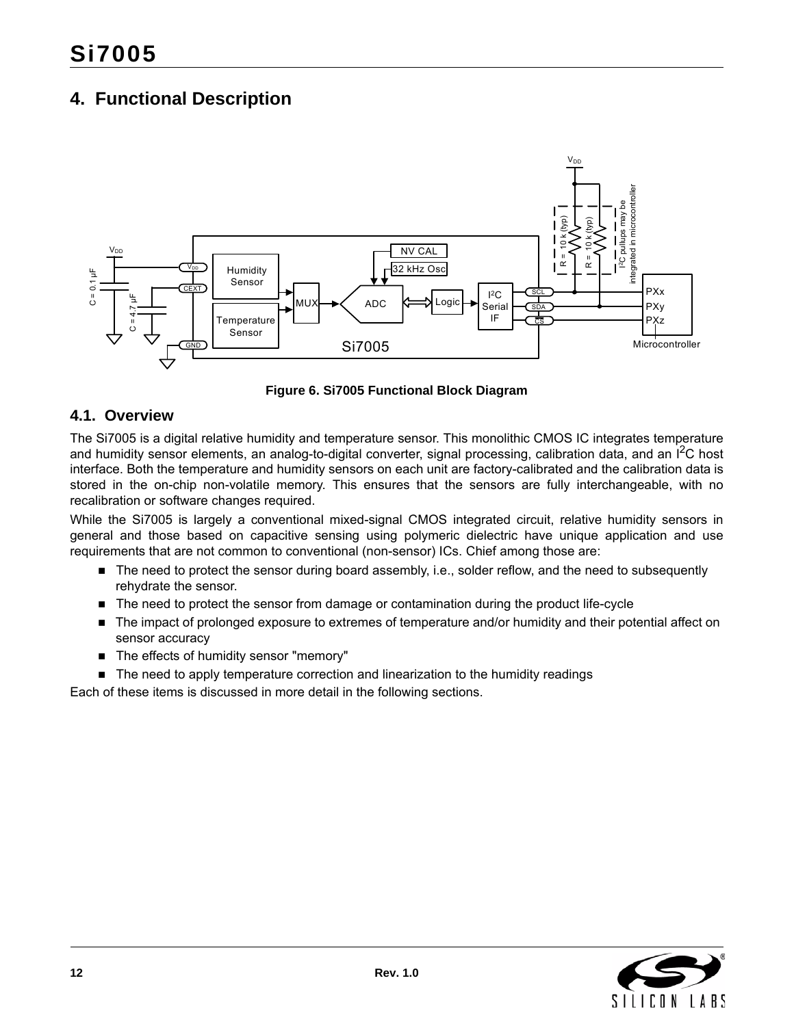# <span id="page-11-0"></span>**4. Functional Description**



**Figure 6. Si7005 Functional Block Diagram**

### <span id="page-11-1"></span>**4.1. Overview**

The Si7005 is a digital relative humidity and temperature sensor. This monolithic CMOS IC integrates temperature and humidity sensor elements, an analog-to-digital converter, signal processing, calibration data, and an I<sup>2</sup>C host interface. Both the temperature and humidity sensors on each unit are factory-calibrated and the calibration data is stored in the on-chip non-volatile memory. This ensures that the sensors are fully interchangeable, with no recalibration or software changes required.

While the Si7005 is largely a conventional mixed-signal CMOS integrated circuit, relative humidity sensors in general and those based on capacitive sensing using polymeric dielectric have unique application and use requirements that are not common to conventional (non-sensor) ICs. Chief among those are:

- The need to protect the sensor during board assembly, i.e., solder reflow, and the need to subsequently rehydrate the sensor.
- The need to protect the sensor from damage or contamination during the product life-cycle
- The impact of prolonged exposure to extremes of temperature and/or humidity and their potential affect on sensor accuracy
- The effects of humidity sensor "memory"
- The need to apply temperature correction and linearization to the humidity readings

Each of these items is discussed in more detail in the following sections.

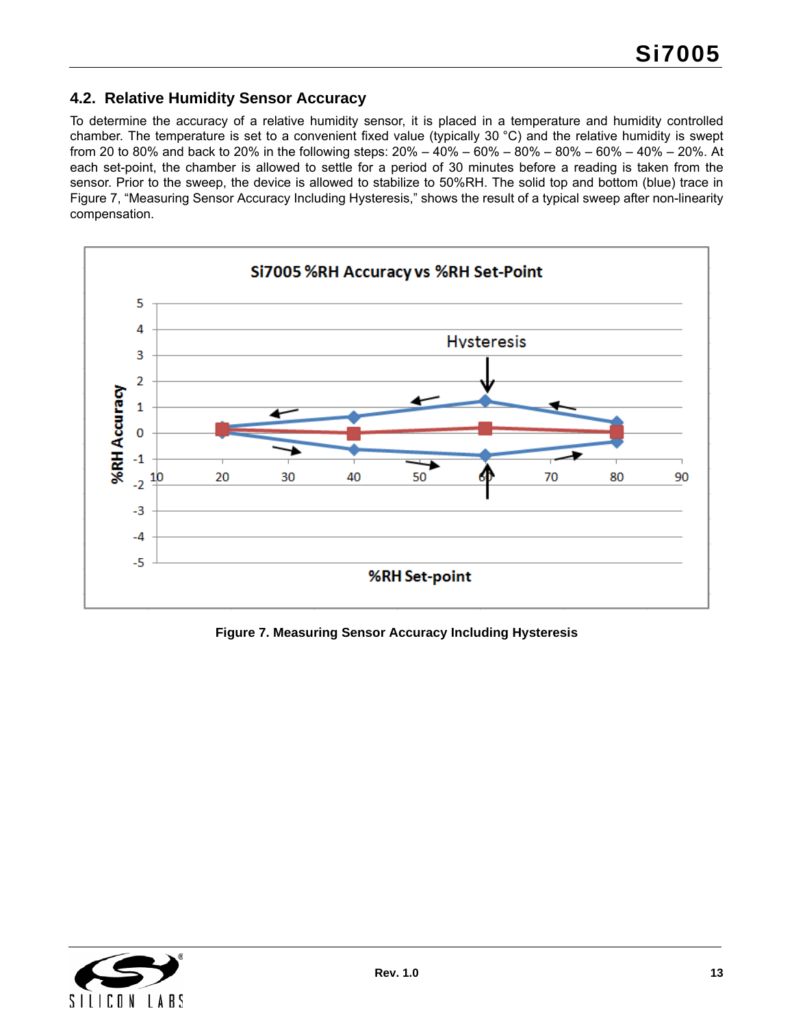## <span id="page-12-0"></span>**4.2. Relative Humidity Sensor Accuracy**

To determine the accuracy of a relative humidity sensor, it is placed in a temperature and humidity controlled chamber. The temperature is set to a convenient fixed value (typically 30 °C) and the relative humidity is swept from 20 to 80% and back to 20% in the following steps: 20% – 40% – 60% – 80% – 80% – 60% – 40% – 20%. At each set-point, the chamber is allowed to settle for a period of 30 minutes before a reading is taken from the sensor. Prior to the sweep, the device is allowed to stabilize to 50%RH. The solid top and bottom (blue) trace in [Figure 7, "Measuring Sensor Accuracy Including Hysteresis,"](#page-12-1) shows the result of a typical sweep after non-linearity compensation.



<span id="page-12-1"></span>**Figure 7. Measuring Sensor Accuracy Including Hysteresis**

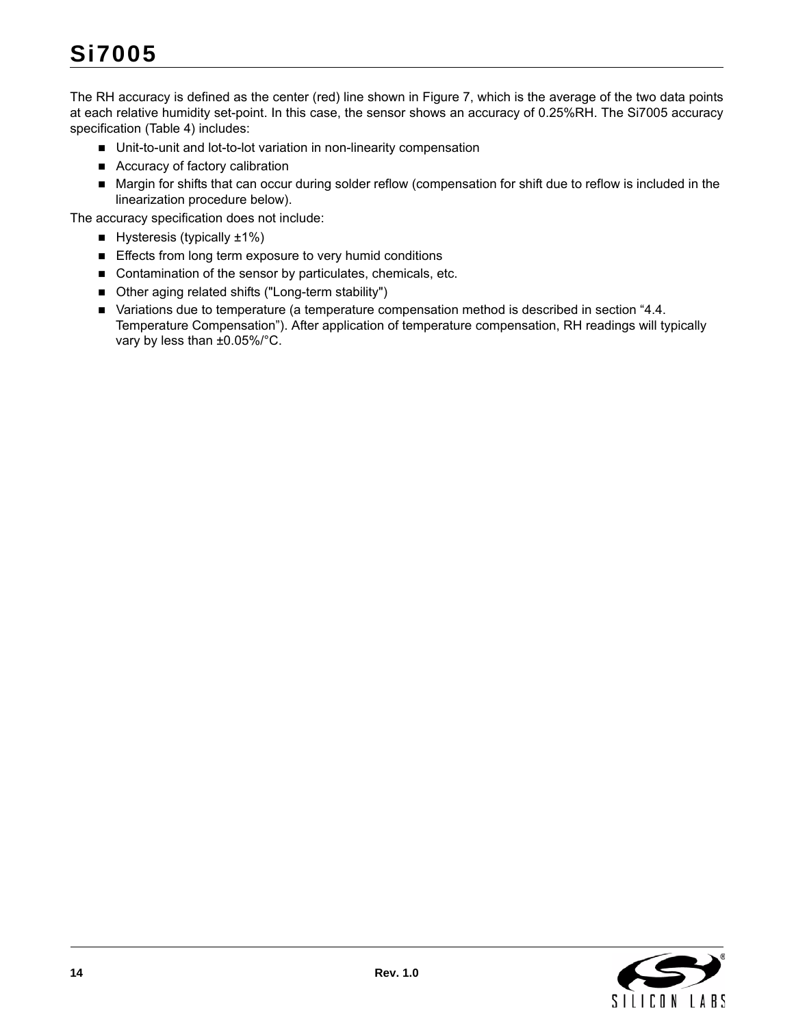The RH accuracy is defined as the center (red) line shown in [Figure 7,](#page-12-1) which is the average of the two data points at each relative humidity set-point. In this case, the sensor shows an accuracy of 0.25%RH. The Si7005 accuracy specification [\(Table 4](#page-6-6)) includes:

- Unit-to-unit and lot-to-lot variation in non-linearity compensation
- Accuracy of factory calibration
- Margin for shifts that can occur during solder reflow (compensation for shift due to reflow is included in the linearization procedure below).

The accuracy specification does not include:

- Hysteresis (typically  $±1\%$ )
- **Effects from long term exposure to very humid conditions**
- Contamination of the sensor by particulates, chemicals, etc.
- Other aging related shifts ("Long-term stability")
- Variations due to temperature (a temperature compensation method is described in section "4.4. [Temperature Compensation"\)](#page-15-0). After application of temperature compensation, RH readings will typically vary by less than ±0.05%/°C.

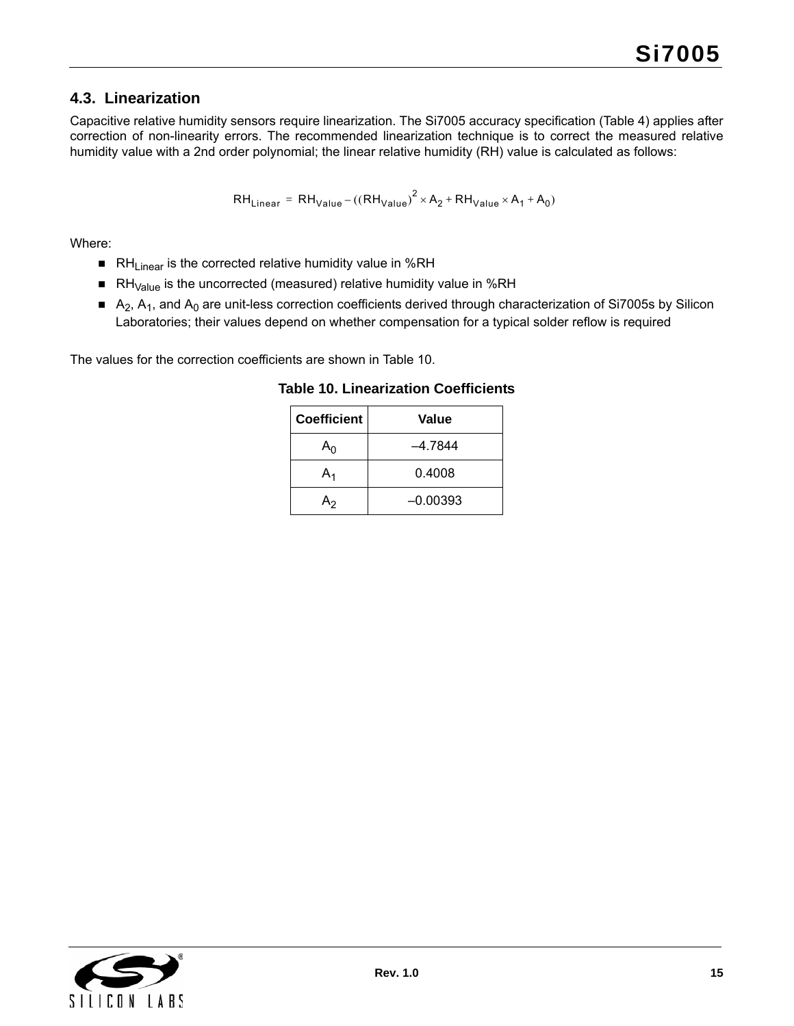## <span id="page-14-0"></span>**4.3. Linearization**

Capacitive relative humidity sensors require linearization. The Si7005 accuracy specification ([Table 4\)](#page-6-6) applies after correction of non-linearity errors. The recommended linearization technique is to correct the measured relative humidity value with a 2nd order polynomial; the linear relative humidity (RH) value is calculated as follows:

$$
RH_{Linear} = RH_{Value} - ((RH_{Value})^2 \times A_2 + RH_{Value} \times A_1 + A_0)
$$

Where:

- RH<sub>Linear</sub> is the corrected relative humidity value in %RH
- RH $_{Value}$  is the uncorrected (measured) relative humidity value in %RH
- $A_2$ , A<sub>1</sub>, and A<sub>0</sub> are unit-less correction coefficients derived through characterization of Si7005s by Silicon Laboratories; their values depend on whether compensation for a typical solder reflow is required

<span id="page-14-1"></span>The values for the correction coefficients are shown in [Table 10](#page-14-1).

| Coefficient | Value      |
|-------------|------------|
| An          | -4.7844    |
| A,          | 0.4008     |
| ጓን          | $-0.00393$ |

**Table 10. Linearization Coefficients**

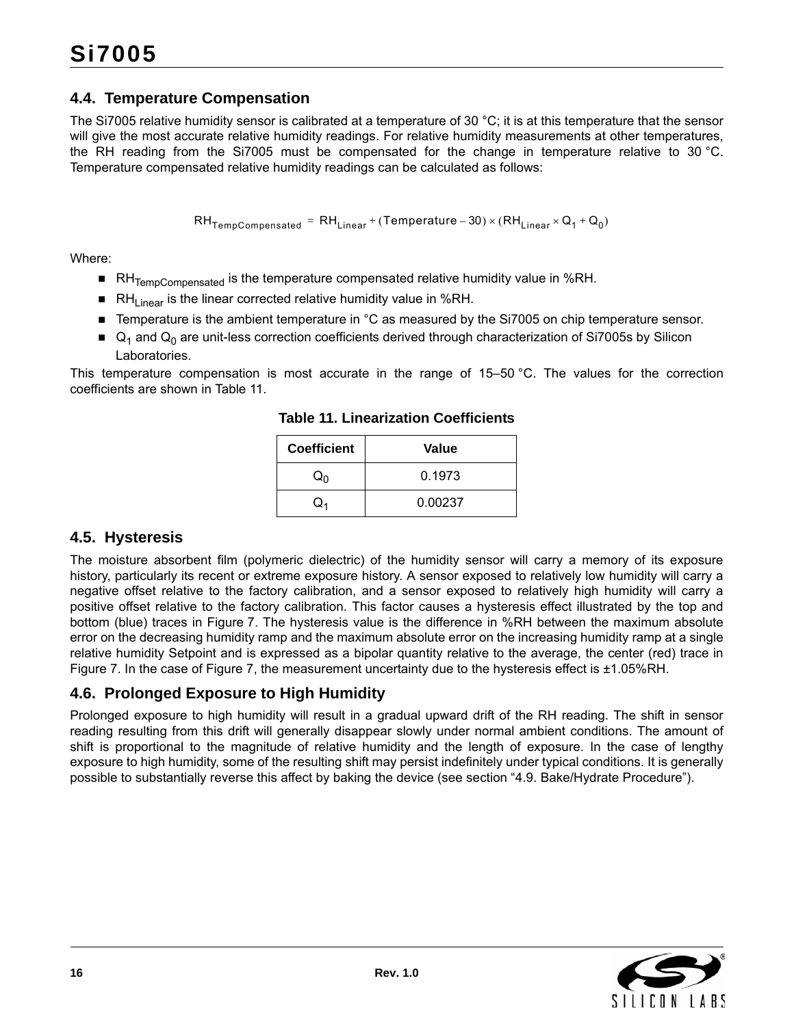# <span id="page-15-0"></span>**4.4. Temperature Compensation**

The Si7005 relative humidity sensor is calibrated at a temperature of 30 °C; it is at this temperature that the sensor will give the most accurate relative humidity readings. For relative humidity measurements at other temperatures, the RH reading from the Si7005 must be compensated for the change in temperature relative to 30 °C. Temperature compensated relative humidity readings can be calculated as follows:

 $RH_{TempCompensated} = RH_{Linear} + (Temperature-30) \times (RH_{Linear} \times Q_1 + Q_0)$ 

Where:

- RH<sub>TempCompensated</sub> is the temperature compensated relative humidity value in %RH.
- RH<sub>Linear</sub> is the linear corrected relative humidity value in %RH.
- Temperature is the ambient temperature in °C as measured by the Si7005 on chip temperature sensor.
- $\Box$  Q<sub>1</sub> and Q<sub>0</sub> are unit-less correction coefficients derived through characterization of Si7005s by Silicon Laboratories.

<span id="page-15-3"></span>This temperature compensation is most accurate in the range of 15–50 °C. The values for the correction coefficients are shown in [Table 11.](#page-15-3)

| <b>Coefficient</b> | Value   |
|--------------------|---------|
| Q۵                 | 0.1973  |
|                    | 0.00237 |

**Table 11. Linearization Coefficients**

# <span id="page-15-1"></span>**4.5. Hysteresis**

The moisture absorbent film (polymeric dielectric) of the humidity sensor will carry a memory of its exposure history, particularly its recent or extreme exposure history. A sensor exposed to relatively low humidity will carry a negative offset relative to the factory calibration, and a sensor exposed to relatively high humidity will carry a positive offset relative to the factory calibration. This factor causes a hysteresis effect illustrated by the top and bottom (blue) traces in [Figure 7](#page-12-1). The hysteresis value is the difference in %RH between the maximum absolute error on the decreasing humidity ramp and the maximum absolute error on the increasing humidity ramp at a single relative humidity Setpoint and is expressed as a bipolar quantity relative to the average, the center (red) trace in [Figure 7.](#page-12-1) In the case of [Figure 7,](#page-12-1) the measurement uncertainty due to the hysteresis effect is ±1.05%RH.

# <span id="page-15-2"></span>**4.6. Prolonged Exposure to High Humidity**

Prolonged exposure to high humidity will result in a gradual upward drift of the RH reading. The shift in sensor reading resulting from this drift will generally disappear slowly under normal ambient conditions. The amount of shift is proportional to the magnitude of relative humidity and the length of exposure. In the case of lengthy exposure to high humidity, some of the resulting shift may persist indefinitely under typical conditions. It is generally possible to substantially reverse this affect by baking the device (see section ["4.9. Bake/Hydrate Procedure"\)](#page-17-1).

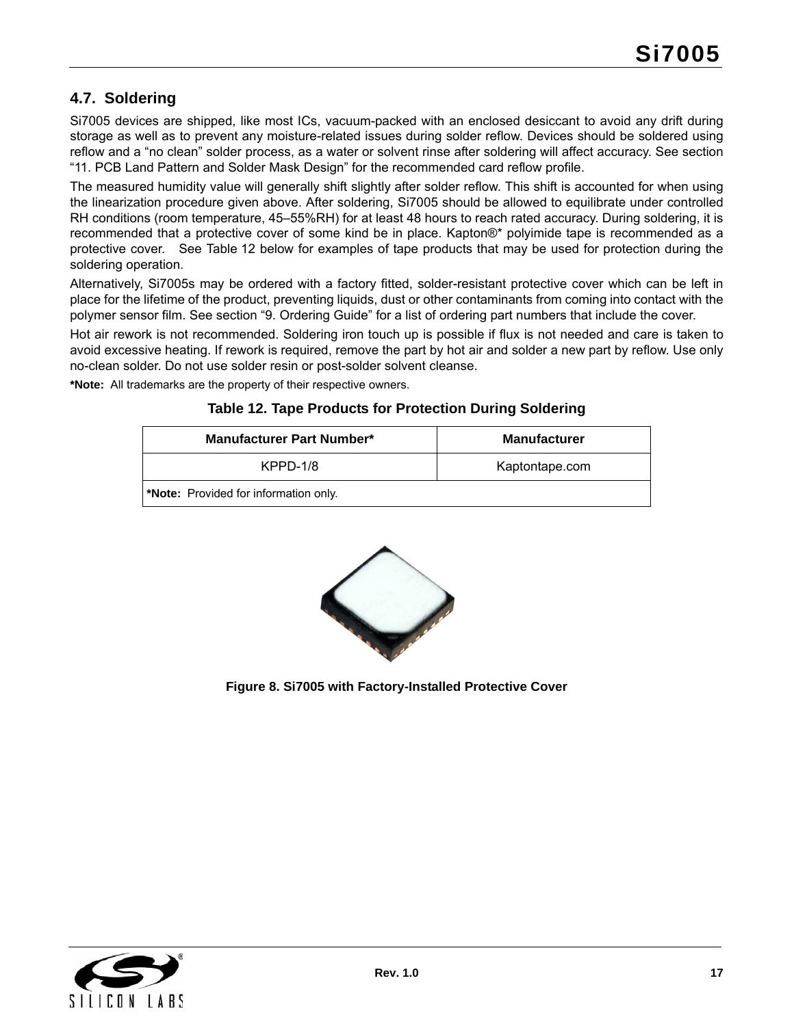# <span id="page-16-0"></span>**4.7. Soldering**

Si7005 devices are shipped, like most ICs, vacuum-packed with an enclosed desiccant to avoid any drift during storage as well as to prevent any moisture-related issues during solder reflow. Devices should be soldered using reflow and a "no clean" solder process, as a water or solvent rinse after soldering will affect accuracy. See section ["11. PCB Land Pattern and Solder Mask Design"](#page-33-0) for the recommended card reflow profile.

The measured humidity value will generally shift slightly after solder reflow. This shift is accounted for when using the linearization procedure given above. After soldering, Si7005 should be allowed to equilibrate under controlled RH conditions (room temperature, 45–55%RH) for at least 48 hours to reach rated accuracy. During soldering, it is recommended that a protective cover of some kind be in place. Kapton®\* polyimide tape is recommended as a protective cover. See [Table 12](#page-16-1) below for examples of tape products that may be used for protection during the soldering operation.

Alternatively, Si7005s may be ordered with a factory fitted, solder-resistant protective cover which can be left in place for the lifetime of the product, preventing liquids, dust or other contaminants from coming into contact with the polymer sensor film. See section ["9. Ordering Guide"](#page-30-0) for a list of ordering part numbers that include the cover.

Hot air rework is not recommended. Soldering iron touch up is possible if flux is not needed and care is taken to avoid excessive heating. If rework is required, remove the part by hot air and solder a new part by reflow. Use only no-clean solder. Do not use solder resin or post-solder solvent cleanse.

<span id="page-16-1"></span>**\*Note:** All trademarks are the property of their respective owners.

| <b>Table 12. Tape Products for Protection During Soldering</b> |  |
|----------------------------------------------------------------|--|
|                                                                |  |

| <b>Manufacturer Part Number*</b>            | <b>Manufacturer</b> |  |  |  |  |  |  |
|---------------------------------------------|---------------------|--|--|--|--|--|--|
| KPPD-1/8                                    | Kaptontape.com      |  |  |  |  |  |  |
| <b>Note:</b> Provided for information only. |                     |  |  |  |  |  |  |



**Figure 8. Si7005 with Factory-Installed Protective Cover**

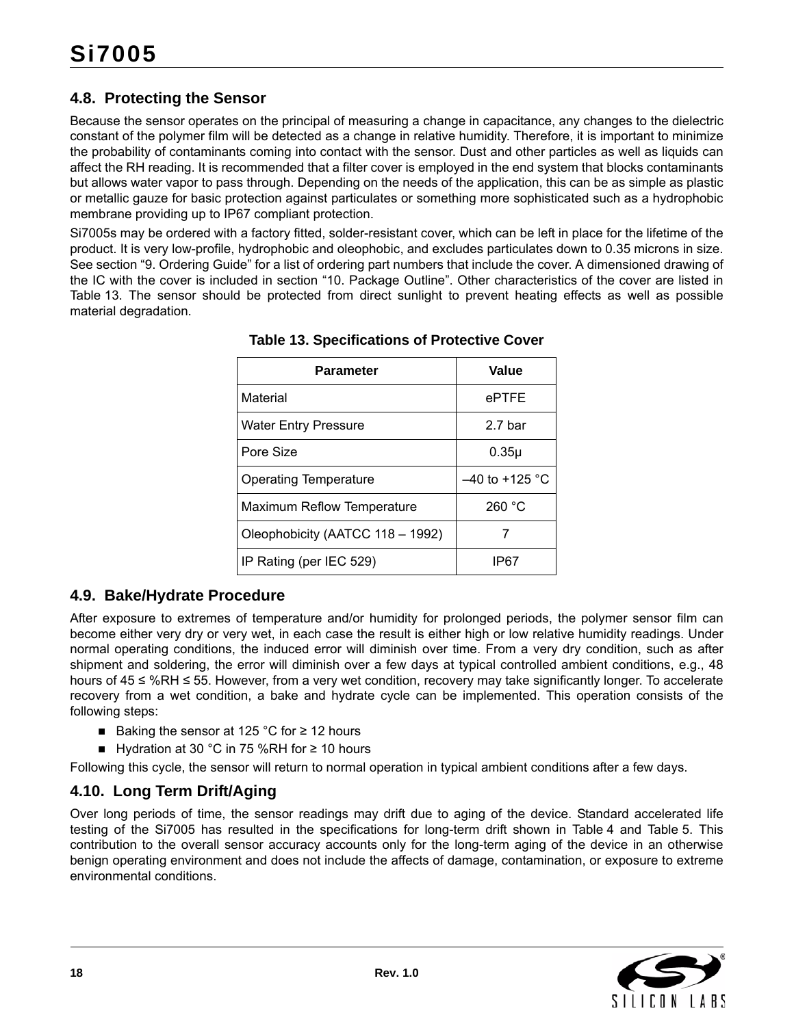# <span id="page-17-0"></span>**4.8. Protecting the Sensor**

Because the sensor operates on the principal of measuring a change in capacitance, any changes to the dielectric constant of the polymer film will be detected as a change in relative humidity. Therefore, it is important to minimize the probability of contaminants coming into contact with the sensor. Dust and other particles as well as liquids can affect the RH reading. It is recommended that a filter cover is employed in the end system that blocks contaminants but allows water vapor to pass through. Depending on the needs of the application, this can be as simple as plastic or metallic gauze for basic protection against particulates or something more sophisticated such as a hydrophobic membrane providing up to IP67 compliant protection.

<span id="page-17-3"></span>Si7005s may be ordered with a factory fitted, solder-resistant cover, which can be left in place for the lifetime of the product. It is very low-profile, hydrophobic and oleophobic, and excludes particulates down to 0.35 microns in size. See section ["9. Ordering Guide"](#page-30-0) for a list of ordering part numbers that include the cover. A dimensioned drawing of the IC with the cover is included in section ["10. Package Outline".](#page-31-0) Other characteristics of the cover are listed in [Table 13.](#page-17-3) The sensor should be protected from direct sunlight to prevent heating effects as well as possible material degradation.

| Parameter                        | Value              |
|----------------------------------|--------------------|
| Material                         | ePTFE              |
| Water Entry Pressure             | 2.7 <sub>bar</sub> |
| Pore Size                        | $0.35\mu$          |
| Operating Temperature            | $-40$ to +125 °C   |
| Maximum Reflow Temperature       | 260 °C             |
| Oleophobicity (AATCC 118 - 1992) |                    |
| IP Rating (per IEC 529)          | IP67               |

**Table 13. Specifications of Protective Cover**

### <span id="page-17-1"></span>**4.9. Bake/Hydrate Procedure**

After exposure to extremes of temperature and/or humidity for prolonged periods, the polymer sensor film can become either very dry or very wet, in each case the result is either high or low relative humidity readings. Under normal operating conditions, the induced error will diminish over time. From a very dry condition, such as after shipment and soldering, the error will diminish over a few days at typical controlled ambient conditions, e.g., 48 hours of 45 ≤ %RH ≤ 55. However, from a very wet condition, recovery may take significantly longer. To accelerate recovery from a wet condition, a bake and hydrate cycle can be implemented. This operation consists of the following steps:

- Baking the sensor at 125 °C for  $\geq$  12 hours
- Hydration at 30 °C in 75 %RH for  $\geq$  10 hours

Following this cycle, the sensor will return to normal operation in typical ambient conditions after a few days.

# <span id="page-17-2"></span>**4.10. Long Term Drift/Aging**

Over long periods of time, the sensor readings may drift due to aging of the device. Standard accelerated life testing of the Si7005 has resulted in the specifications for long-term drift shown in [Table 4](#page-6-6) and [Table 5.](#page-7-4) This contribution to the overall sensor accuracy accounts only for the long-term aging of the device in an otherwise benign operating environment and does not include the affects of damage, contamination, or exposure to extreme environmental conditions.

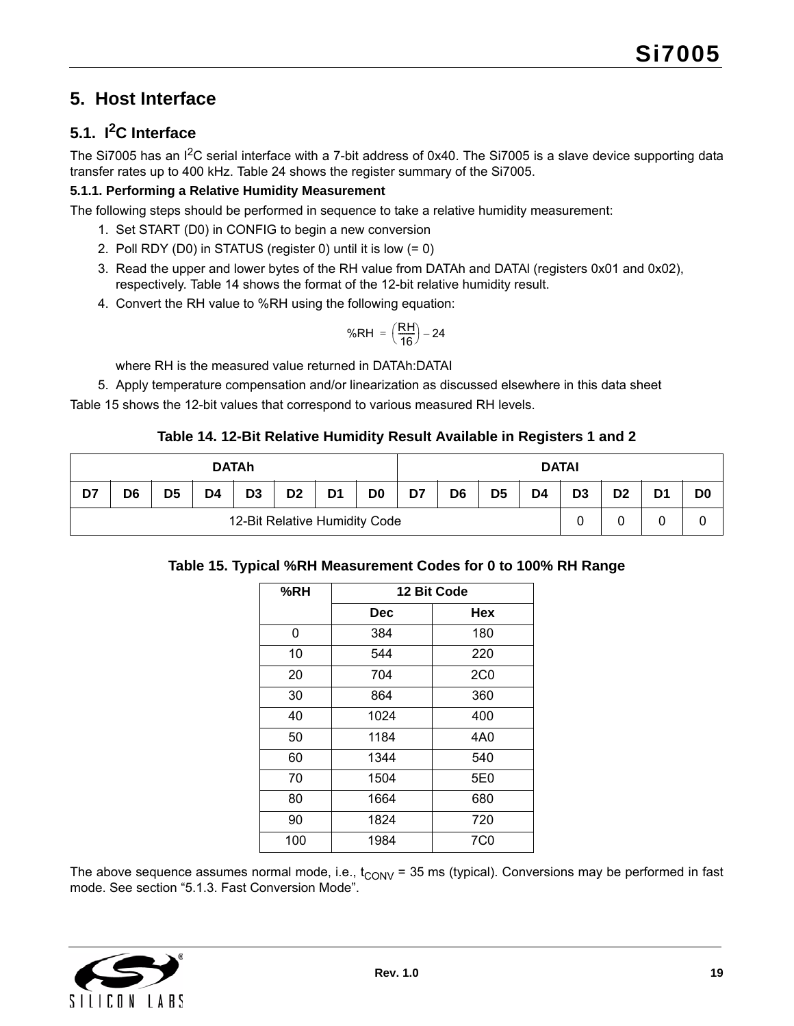# <span id="page-18-0"></span>**5. Host Interface**

# <span id="page-18-1"></span>**5.1. I2C Interface**

The Si7005 has an I<sup>2</sup>C serial interface with a 7-bit address of 0x40. The Si7005 is a slave device supporting data transfer rates up to 400 kHz. [Table 24](#page-26-2) shows the register summary of the Si7005.

### **5.1.1. Performing a Relative Humidity Measurement**

The following steps should be performed in sequence to take a relative humidity measurement:

- 1. Set START (D0) in CONFIG to begin a new conversion
- 2. Poll RDY (D0) in STATUS (register 0) until it is low (= 0)
- 3. Read the upper and lower bytes of the RH value from DATAh and DATAl (registers 0x01 and 0x02), respectively. [Table 14](#page-18-3) shows the format of the 12-bit relative humidity result.
- 4. Convert the RH value to %RH using the following equation:

$$
%RH = \left(\frac{RH}{16}\right) - 24
$$

where RH is the measured value returned in DATAh:DATAI

5. Apply temperature compensation and/or linearization as discussed elsewhere in this data sheet

[Table 15](#page-18-2) shows the 12-bit values that correspond to various measured RH levels.

#### **Table 14. 12-Bit Relative Humidity Result Available in Registers 1 and 2**

<span id="page-18-3"></span>

| <b>DATAh</b>                  |    |                |    |                |                | <b>DATAI</b>   |                |    |                |                |    |                |                |                |                |
|-------------------------------|----|----------------|----|----------------|----------------|----------------|----------------|----|----------------|----------------|----|----------------|----------------|----------------|----------------|
| D7                            | D6 | D <sub>5</sub> | D4 | D <sub>3</sub> | D <sub>2</sub> | D <sub>1</sub> | D <sub>0</sub> | D7 | D <sub>6</sub> | D <sub>5</sub> | D4 | D <sub>3</sub> | D <sub>2</sub> | D <sub>1</sub> | D <sub>0</sub> |
| 12-Bit Relative Humidity Code |    |                |    |                |                |                |                |    | 0              |                | U  |                |                |                |                |

### <span id="page-18-2"></span>**Table 15. Typical %RH Measurement Codes for 0 to 100% RH Range**

| %RH | 12 Bit Code |                 |  |  |  |  |  |
|-----|-------------|-----------------|--|--|--|--|--|
|     | <b>Dec</b>  | Hex             |  |  |  |  |  |
| 0   | 384         | 180             |  |  |  |  |  |
| 10  | 544         | 220             |  |  |  |  |  |
| 20  | 704         | 2C <sub>0</sub> |  |  |  |  |  |
| 30  | 864         | 360             |  |  |  |  |  |
| 40  | 1024        | 400             |  |  |  |  |  |
| 50  | 1184        | 4A0             |  |  |  |  |  |
| 60  | 1344        | 540             |  |  |  |  |  |
| 70  | 1504        | 5E0             |  |  |  |  |  |
| 80  | 1664        | 680             |  |  |  |  |  |
| 90  | 1824        | 720             |  |  |  |  |  |
| 100 | 1984        | 7C0             |  |  |  |  |  |

The above sequence assumes normal mode, i.e.,  $t_{CONV}$  = 35 ms (typical). Conversions may be performed in fast mode. See section ["5.1.3. Fast Conversion Mode"](#page-21-0).

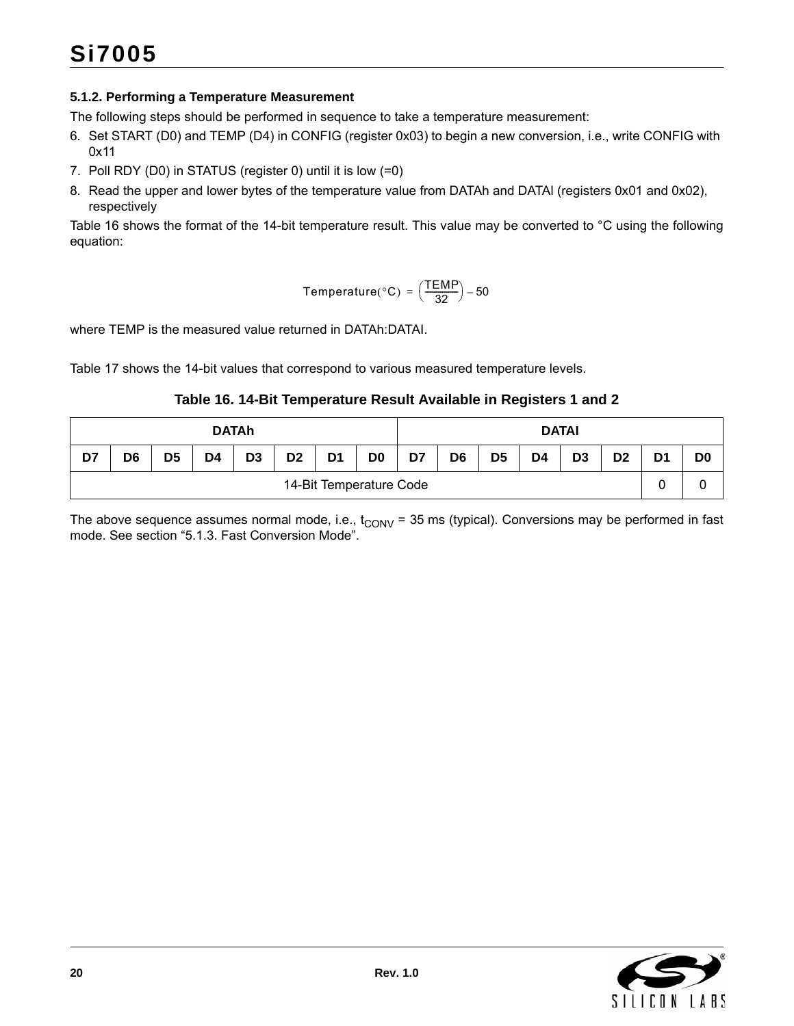#### **5.1.2. Performing a Temperature Measurement**

The following steps should be performed in sequence to take a temperature measurement:

- 6. Set START (D0) and TEMP (D4) in CONFIG (register 0x03) to begin a new conversion, i.e., write CONFIG with 0x11
- 7. Poll RDY (D0) in STATUS (register 0) until it is low (=0)
- 8. Read the upper and lower bytes of the temperature value from DATAh and DATAl (registers 0x01 and 0x02), respectively

[Table 16](#page-19-0) shows the format of the 14-bit temperature result. This value may be converted to °C using the following equation:

$$
Temperature(^{\circ}C) = \left(\frac{TEMP}{32}\right) - 50
$$

where TEMP is the measured value returned in DATAh:DATAI.

[Table 17](#page-20-0) shows the 14-bit values that correspond to various measured temperature levels.

**Table 16. 14-Bit Temperature Result Available in Registers 1 and 2**

<span id="page-19-0"></span>

| <b>DATAh</b>            |                |                |    |                | <b>DATAI</b>   |                |                |    |                |                |                |                |                |                |                |
|-------------------------|----------------|----------------|----|----------------|----------------|----------------|----------------|----|----------------|----------------|----------------|----------------|----------------|----------------|----------------|
| D7                      | D <sub>6</sub> | D <sub>5</sub> | D4 | D <sub>3</sub> | D <sub>2</sub> | D <sub>1</sub> | D <sub>0</sub> | D7 | D <sub>6</sub> | D <sub>5</sub> | D <sub>4</sub> | D <sub>3</sub> | D <sub>2</sub> | D <sub>1</sub> | D <sub>0</sub> |
| 14-Bit Temperature Code |                |                |    |                |                |                |                |    |                | r<br>U         |                |                |                |                |                |

The above sequence assumes normal mode, i.e.,  $t_{CONV}$  = 35 ms (typical). Conversions may be performed in fast mode. See section ["5.1.3. Fast Conversion Mode"](#page-21-0).

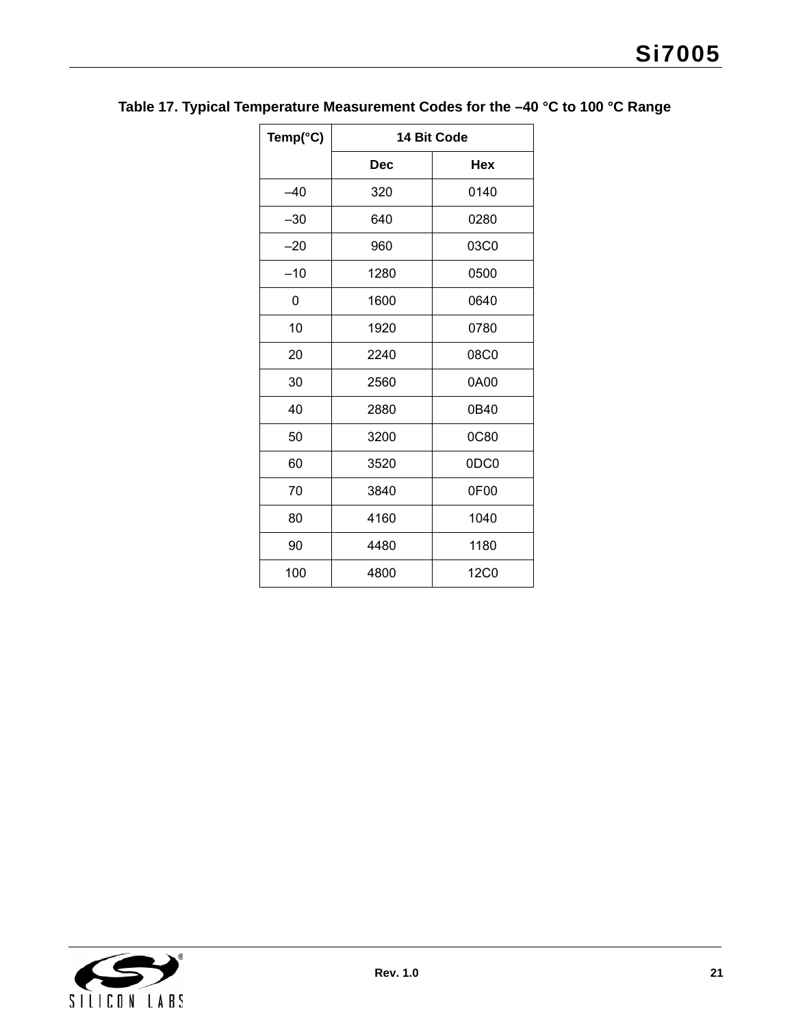| Temp(°C) | 14 Bit Code |             |  |  |  |  |  |
|----------|-------------|-------------|--|--|--|--|--|
|          | <b>Dec</b>  | <b>Hex</b>  |  |  |  |  |  |
| $-40$    | 320         | 0140        |  |  |  |  |  |
| $-30$    | 640         | 0280        |  |  |  |  |  |
| $-20$    | 960         | 03C0        |  |  |  |  |  |
| $-10$    | 1280        | 0500        |  |  |  |  |  |
| 0        | 1600        | 0640        |  |  |  |  |  |
| 10       | 1920        | 0780        |  |  |  |  |  |
| 20       | 2240        | 08C0        |  |  |  |  |  |
| 30       | 2560        | 0A00        |  |  |  |  |  |
| 40       | 2880        | 0B40        |  |  |  |  |  |
| 50       | 3200        | <b>0C80</b> |  |  |  |  |  |
| 60       | 3520        | 0DC0        |  |  |  |  |  |
| 70       | 3840        | 0F00        |  |  |  |  |  |
| 80       | 4160        | 1040        |  |  |  |  |  |
| 90       | 4480        | 1180        |  |  |  |  |  |
| 100      | 4800        | <b>12C0</b> |  |  |  |  |  |

# <span id="page-20-0"></span>**Table 17. Typical Temperature Measurement Codes for the –40 °C to 100 °C Range**

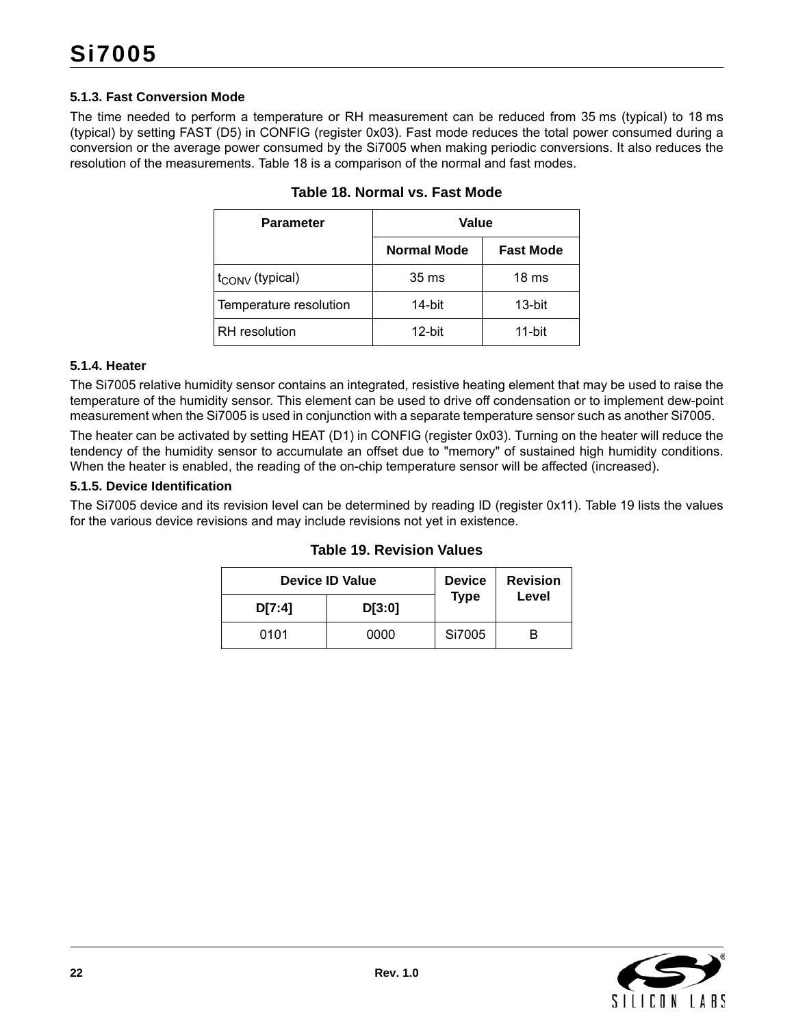#### <span id="page-21-0"></span>**5.1.3. Fast Conversion Mode**

<span id="page-21-1"></span>The time needed to perform a temperature or RH measurement can be reduced from 35 ms (typical) to 18 ms (typical) by setting FAST (D5) in CONFIG (register 0x03). Fast mode reduces the total power consumed during a conversion or the average power consumed by the Si7005 when making periodic conversions. It also reduces the resolution of the measurements. [Table 18](#page-21-1) is a comparison of the normal and fast modes.

| <b>Parameter</b>            | Value              |                  |  |  |  |  |
|-----------------------------|--------------------|------------------|--|--|--|--|
|                             | <b>Normal Mode</b> | <b>Fast Mode</b> |  |  |  |  |
| $t_{\text{CONV}}$ (typical) | 35 ms              | 18 <sub>ms</sub> |  |  |  |  |
| Temperature resolution      | 14-bit             | 13-bit           |  |  |  |  |
| <b>RH</b> resolution        | $12$ -bit          | 11-bit           |  |  |  |  |

| Table 18. Normal vs. Fast Mode |  |  |
|--------------------------------|--|--|
|                                |  |  |

#### **5.1.4. Heater**

The Si7005 relative humidity sensor contains an integrated, resistive heating element that may be used to raise the temperature of the humidity sensor. This element can be used to drive off condensation or to implement dew-point measurement when the Si7005 is used in conjunction with a separate temperature sensor such as another Si7005.

The heater can be activated by setting HEAT (D1) in CONFIG (register 0x03). Turning on the heater will reduce the tendency of the humidity sensor to accumulate an offset due to "memory" of sustained high humidity conditions. When the heater is enabled, the reading of the on-chip temperature sensor will be affected (increased).

#### <span id="page-21-3"></span>**5.1.5. Device Identification**

<span id="page-21-2"></span>The Si7005 device and its revision level can be determined by reading ID (register 0x11). [Table 19](#page-21-2) lists the values for the various device revisions and may include revisions not yet in existence.

| <b>Device ID Value</b> | <b>Device</b> | <b>Revision</b> |       |
|------------------------|---------------|-----------------|-------|
| D[7:4]                 | D[3:0]        | <b>Type</b>     | Level |
| 0101                   | 0000          | Si7005          |       |

#### **Table 19. Revision Values**

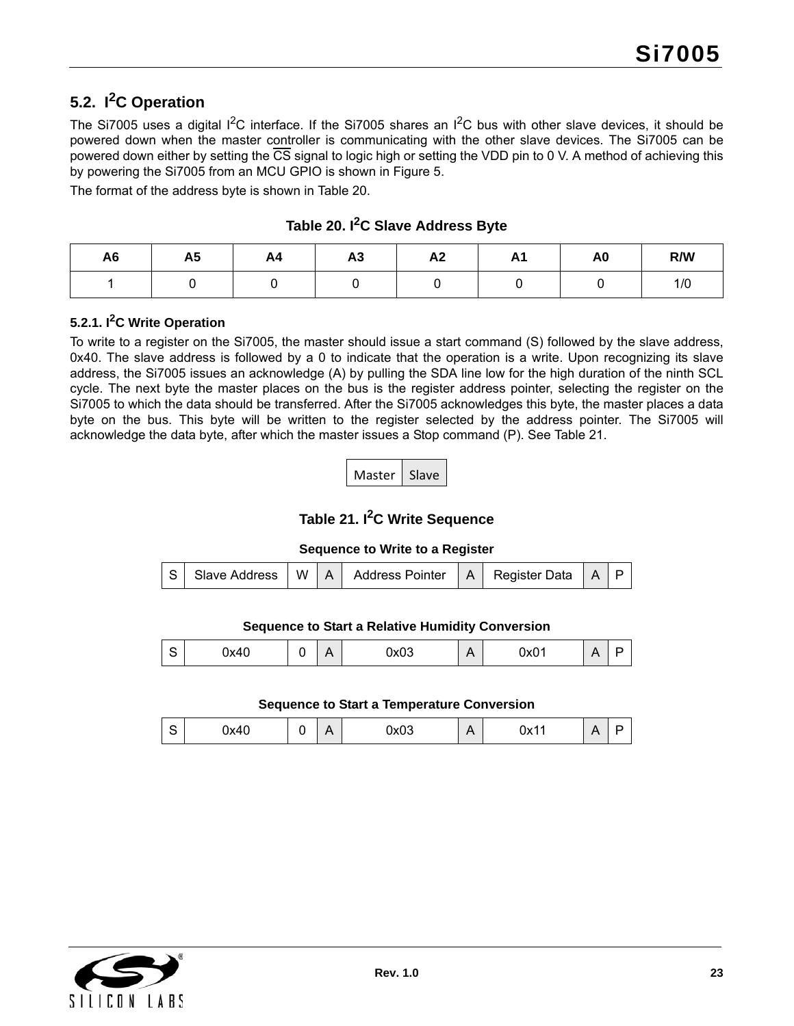# <span id="page-22-0"></span>**5.2. I2C Operation**

The Si7005 uses a digital  $1^2C$  interface. If the Si7005 shares an  $1^2C$  bus with other slave devices, it should be powered down when the master controller is communicating with the other slave devices. The Si7005 can be powered down either by setting the  $\overline{CS}$  signal to logic high or setting the VDD pin to 0 V. A method of achieving this by powering the Si7005 from an MCU GPIO is shown in [Figure 5](#page-9-1).

The format of the address byte is shown in [Table 20.](#page-22-2)

<span id="page-22-2"></span>

| A <sub>6</sub> | <b>A5</b> | AA | A <sub>3</sub> | A <sub>2</sub> | л.<br><u>л</u> | A <sub>0</sub> | R/W |
|----------------|-----------|----|----------------|----------------|----------------|----------------|-----|
|                |           |    |                |                |                |                | 1/0 |

**Table 20. I2C Slave Address Byte**

### **5.2.1. I2C Write Operation**

To write to a register on the Si7005, the master should issue a start command (S) followed by the slave address, 0x40. The slave address is followed by a 0 to indicate that the operation is a write. Upon recognizing its slave address, the Si7005 issues an acknowledge (A) by pulling the SDA line low for the high duration of the ninth SCL cycle. The next byte the master places on the bus is the register address pointer, selecting the register on the Si7005 to which the data should be transferred. After the Si7005 acknowledges this byte, the master places a data byte on the bus. This byte will be written to the register selected by the address pointer. The Si7005 will acknowledge the data byte, after which the master issues a Stop command (P). See [Table 21](#page-22-1).

Master | Slave

**Table 21. I2C Write Sequence**

#### **Sequence to Write to a Register**

<span id="page-22-1"></span>

| S Slave Address   W   A   Address Pointer   A   Register Data   A   P |  |  |  |
|-----------------------------------------------------------------------|--|--|--|
|-----------------------------------------------------------------------|--|--|--|

#### **Sequence to Start a Relative Humidity Conversion**

| ◡ | . .<br>$\mathbf{v}$<br><b></b> | - | $\triangleright$<br>$\cdots$ | n r<br>$\overline{\mathbf{v}}$<br>∿ט | ∩∿∩1<br> | . . |  |
|---|--------------------------------|---|------------------------------|--------------------------------------|----------|-----|--|

**Sequence to Start a Temperature Conversion**

| ◡ | $\overline{\phantom{a}}$<br>٦., л<br>◡◠┭ |  | Δ<br>$\cdot$ $\cdot$ | $\sim$ $\sim$ $\sim$<br><b>JAUJ</b> | . .<br>- 1 | 11/1<br><b>UAII</b> | . |  |
|---|------------------------------------------|--|----------------------|-------------------------------------|------------|---------------------|---|--|
|---|------------------------------------------|--|----------------------|-------------------------------------|------------|---------------------|---|--|

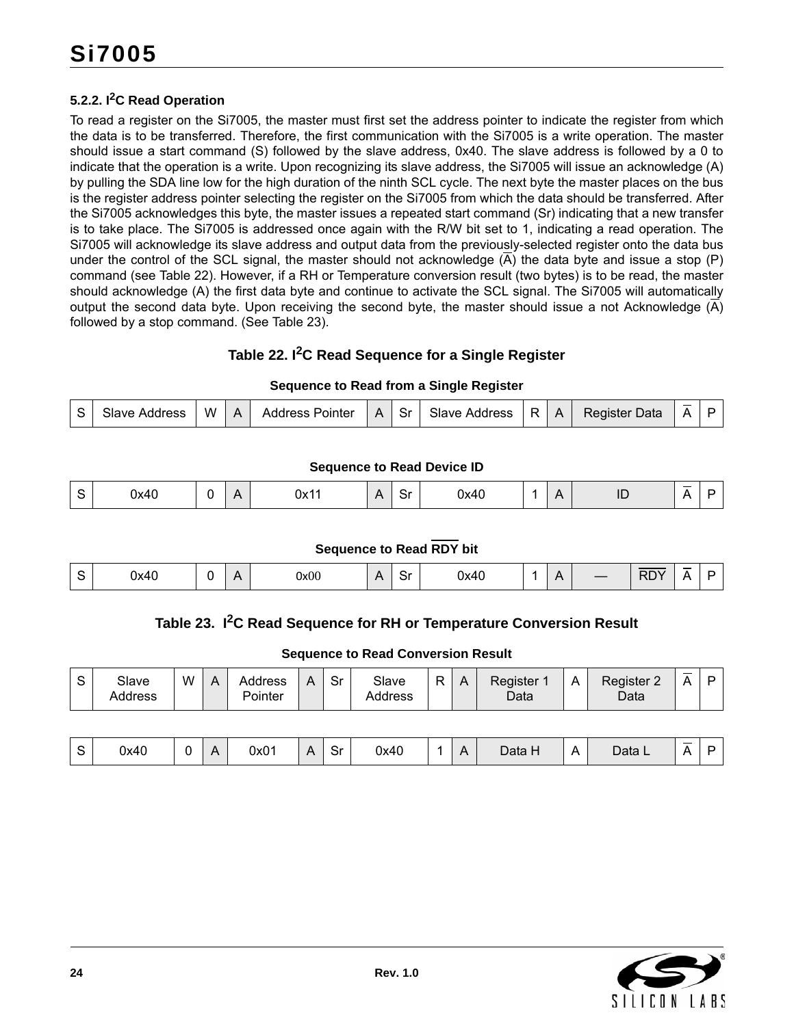#### **5.2.2. I2C Read Operation**

To read a register on the Si7005, the master must first set the address pointer to indicate the register from which the data is to be transferred. Therefore, the first communication with the Si7005 is a write operation. The master should issue a start command (S) followed by the slave address, 0x40. The slave address is followed by a 0 to indicate that the operation is a write. Upon recognizing its slave address, the Si7005 will issue an acknowledge (A) by pulling the SDA line low for the high duration of the ninth SCL cycle. The next byte the master places on the bus is the register address pointer selecting the register on the Si7005 from which the data should be transferred. After the Si7005 acknowledges this byte, the master issues a repeated start command (Sr) indicating that a new transfer is to take place. The Si7005 is addressed once again with the R/W bit set to 1, indicating a read operation. The Si7005 will acknowledge its slave address and output data from the previously-selected register onto the data bus under the control of the SCL signal, the master should not acknowledge  $(\overline{A})$  the data byte and issue a stop  $(P)$ command (see Table 22). However, if a RH or Temperature conversion result (two bytes) is to be read, the master should acknowledge (A) the first data byte and continue to activate the SCL signal. The Si7005 will automatically output the second data byte. Upon receiving the second byte, the master should issue a not Acknowledge  $(\overline{A})$ followed by a stop command. (See Table 23).

### **Table 22. I2C Read Sequence for a Single Register**

#### **Sequence to Read from a Single Register**

<span id="page-23-0"></span>

| Slave Address<br>Sr<br>R.<br>W<br>Register<br>Data<br><b>Address Pointer</b><br>$\mathbf{C}$<br>Slave Address<br>$\Lambda$<br>A<br>$\Delta$ | __<br>Λ |  |  |
|---------------------------------------------------------------------------------------------------------------------------------------------|---------|--|--|
|---------------------------------------------------------------------------------------------------------------------------------------------|---------|--|--|

#### **Sequence to Read Device ID**

|  | 0x40 |  | $\mathbf{v}$ | 0x11 |  | $\overline{\phantom{0}}$<br>. .<br>-<br>יט | 0x40 |  |  | $\sim$<br>. . | <u>__</u><br>. . |  |  |
|--|------|--|--------------|------|--|--------------------------------------------|------|--|--|---------------|------------------|--|--|
|--|------|--|--------------|------|--|--------------------------------------------|------|--|--|---------------|------------------|--|--|

#### **Sequence to Read RDY bit**

<span id="page-23-1"></span>

|      | л |      | -<br>. . |      | $\mathbf{r}$ |            | <u>__</u> |  |
|------|---|------|----------|------|--------------|------------|-----------|--|
| 0x40 |   | 0x00 | יب       | 0x40 |              | <b>RDY</b> |           |  |

#### Table 23. I<sup>2</sup>C Read Sequence for RH or Temperature Conversion Result

#### **Sequence to Read Conversion Result**

| $\sim$<br>Sr<br>R<br>W<br>$\mathbf C$<br>Slave<br>Register<br>Slave<br><b>Address</b><br>Register 2<br>A<br>А<br>Δ<br>A<br>ີ<br>Pointer<br>Data<br>Data<br><b>Address</b><br>Address |
|--------------------------------------------------------------------------------------------------------------------------------------------------------------------------------------|
|--------------------------------------------------------------------------------------------------------------------------------------------------------------------------------------|

| ບ | 0x40 | $\mathbf{v}$<br>∼ | 0x01 |  | -<br>.<br>-<br>וט | 0x40 |  | . . | Data H | $\mathbf{r}$<br>∼ | Data L | $\sim$ |  |
|---|------|-------------------|------|--|-------------------|------|--|-----|--------|-------------------|--------|--------|--|
|---|------|-------------------|------|--|-------------------|------|--|-----|--------|-------------------|--------|--------|--|

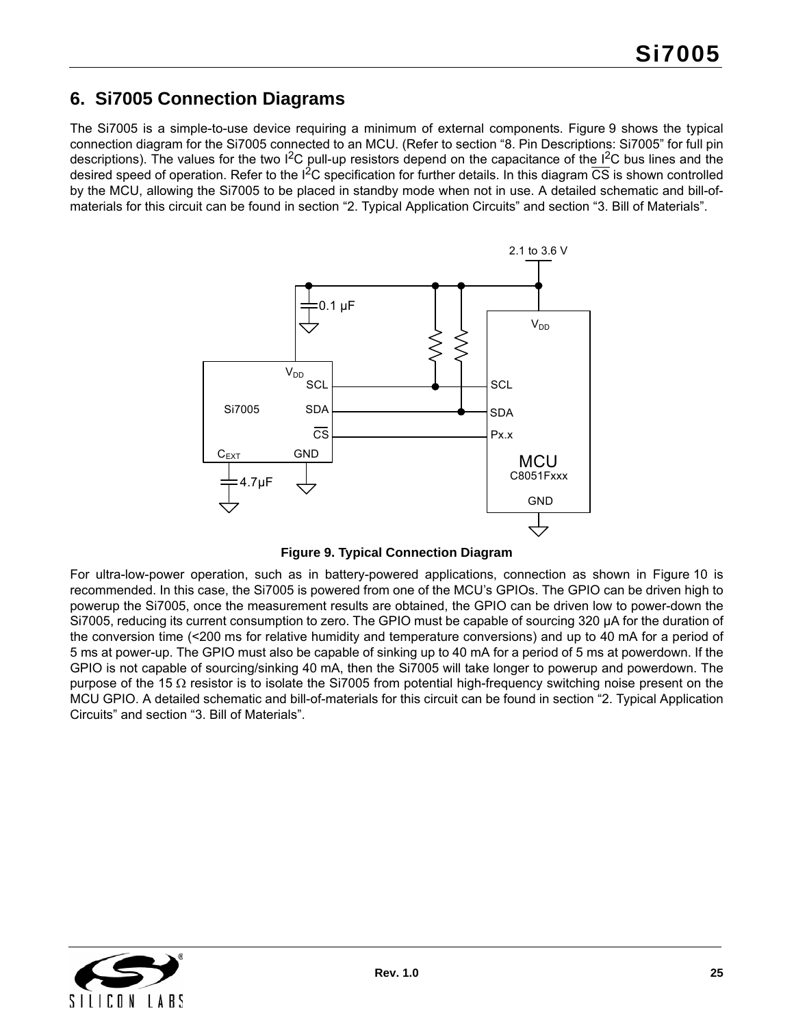# <span id="page-24-0"></span>**6. Si7005 Connection Diagrams**

The Si7005 is a simple-to-use device requiring a minimum of external components. [Figure 9](#page-24-1) shows the typical connection diagram for the Si7005 connected to an MCU. (Refer to section ["8. Pin Descriptions: Si7005"](#page-29-0) for full pin descriptions). The values for the two  $I^2C$  pull-up resistors depend on the capacitance of the  $I^2C$  bus lines and the desired speed of operation. Refer to the  $1<sup>2</sup>C$  specification for further details. In this diagram  $\overline{CS}$  is shown controlled by the MCU, allowing the Si7005 to be placed in standby mode when not in use. A detailed schematic and bill-ofmaterials for this circuit can be found in section ["2. Typical Application Circuits"](#page-9-0) and section ["3. Bill of Materials"](#page-10-0).



**Figure 9. Typical Connection Diagram**

<span id="page-24-1"></span>For ultra-low-power operation, such as in battery-powered applications, connection as shown in [Figure 10](#page-25-0) is recommended. In this case, the Si7005 is powered from one of the MCU's GPIOs. The GPIO can be driven high to powerup the Si7005, once the measurement results are obtained, the GPIO can be driven low to power-down the Si7005, reducing its current consumption to zero. The GPIO must be capable of sourcing 320 µA for the duration of the conversion time (<200 ms for relative humidity and temperature conversions) and up to 40 mA for a period of 5 ms at power-up. The GPIO must also be capable of sinking up to 40 mA for a period of 5 ms at powerdown. If the GPIO is not capable of sourcing/sinking 40 mA, then the Si7005 will take longer to powerup and powerdown. The purpose of the 15  $\Omega$  resistor is to isolate the Si7005 from potential high-frequency switching noise present on the MCU GPIO. A detailed schematic and bill-of-materials for this circuit can be found in section ["2. Typical Application](#page-9-0) [Circuits"](#page-9-0) and section ["3. Bill of Materials".](#page-10-0)

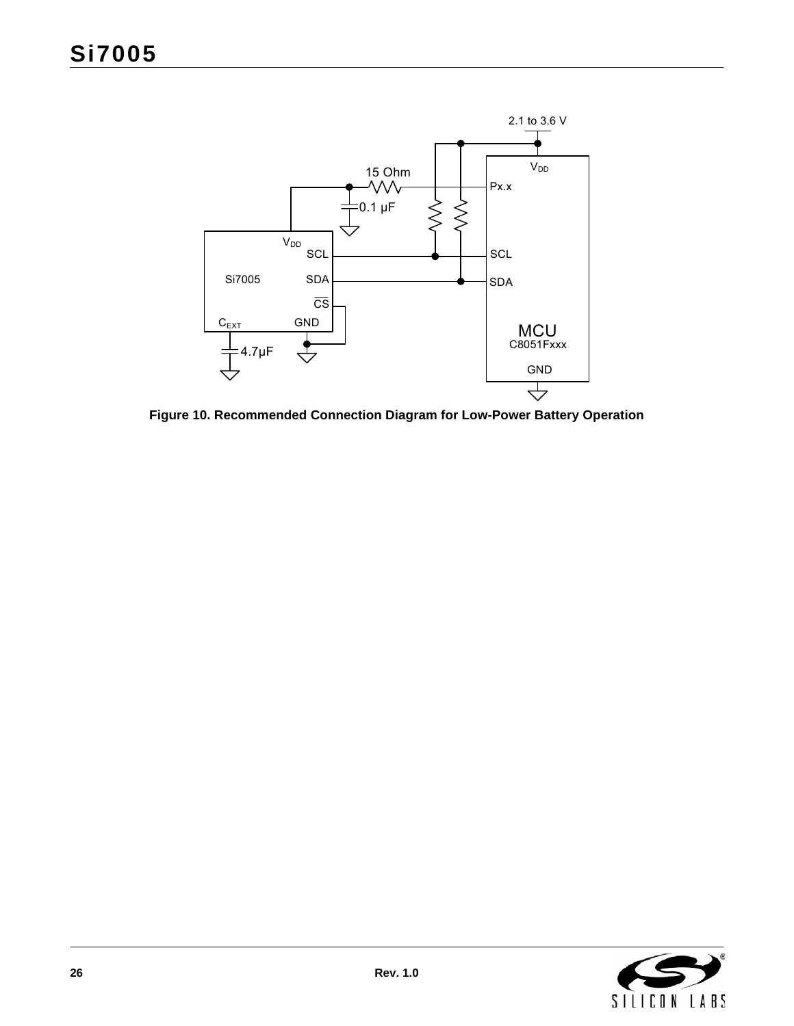

<span id="page-25-0"></span>**Figure 10. Recommended Connection Diagram for Low-Power Battery Operation**

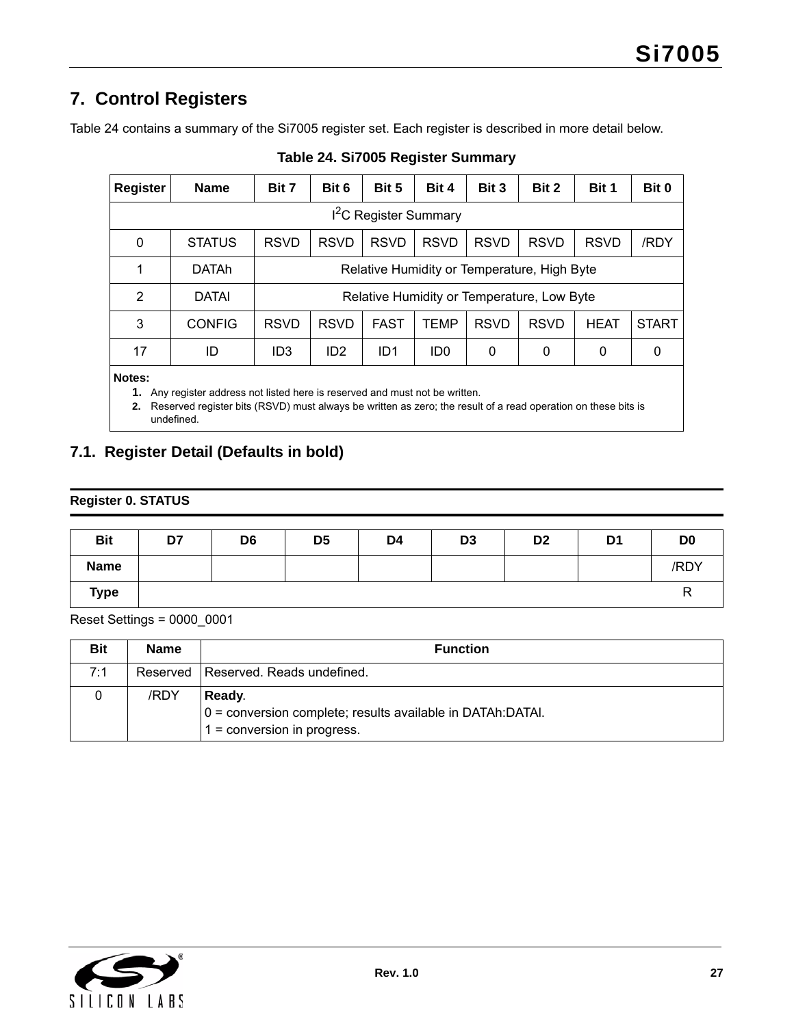# <span id="page-26-0"></span>**7. Control Registers**

<span id="page-26-2"></span>[Table 24](#page-26-2) contains a summary of the Si7005 register set. Each register is described in more detail below.

| <b>Register</b> | <b>Name</b>   | Bit 7           | Bit 6           | Bit 5                           | Bit 4           | Bit 3       | Bit 2                                       | Bit 1       | Bit 0        |
|-----------------|---------------|-----------------|-----------------|---------------------------------|-----------------|-------------|---------------------------------------------|-------------|--------------|
|                 |               |                 |                 | <sup>2</sup> C Register Summary |                 |             |                                             |             |              |
| 0               | <b>STATUS</b> | <b>RSVD</b>     | <b>RSVD</b>     | <b>RSVD</b>                     | <b>RSVD</b>     | <b>RSVD</b> | <b>RSVD</b>                                 | <b>RSVD</b> | /RDY         |
| 1               | <b>DATAh</b>  |                 |                 |                                 |                 |             | Relative Humidity or Temperature, High Byte |             |              |
| 2               | <b>DATAI</b>  |                 |                 |                                 |                 |             | Relative Humidity or Temperature, Low Byte  |             |              |
| 3               | <b>CONFIG</b> | <b>RSVD</b>     | <b>RSVD</b>     | <b>FAST</b>                     | <b>TEMP</b>     | <b>RSVD</b> | <b>RSVD</b>                                 | <b>HEAT</b> | <b>START</b> |
| 17              | ID            | ID <sub>3</sub> | ID <sub>2</sub> | ID <sub>1</sub>                 | ID <sub>0</sub> | 0           | 0                                           | 0           | 0            |
| Notes:          |               |                 |                 |                                 |                 |             |                                             |             |              |

#### **Table 24. Si7005 Register Summary**

**1.** Any register address not listed here is reserved and must not be written.

**2.** Reserved register bits (RSVD) must always be written as zero; the result of a read operation on these bits is undefined.

# <span id="page-26-1"></span>**7.1. Register Detail (Defaults in bold)**

### **Register 0. STATUS**

| <b>Bit</b>  | D7 | D <sub>6</sub> | D <sub>5</sub> | D4 | D <sub>3</sub> | D <sub>2</sub> | D <sub>1</sub> | D <sub>0</sub> |
|-------------|----|----------------|----------------|----|----------------|----------------|----------------|----------------|
| <b>Name</b> |    |                |                |    |                |                |                | /RDY           |
| <b>Type</b> |    |                |                |    |                |                |                |                |

Reset Settings = 0000\_0001

| Bit | <b>Name</b> | <b>Function</b>                                                                                        |
|-----|-------------|--------------------------------------------------------------------------------------------------------|
| 7:1 |             | Reserved Reserved, Reads undefined.                                                                    |
|     | /RDY        | Ready.<br> 0 = conversion complete; results available in DATAh:DATAI.<br>$1 =$ conversion in progress. |

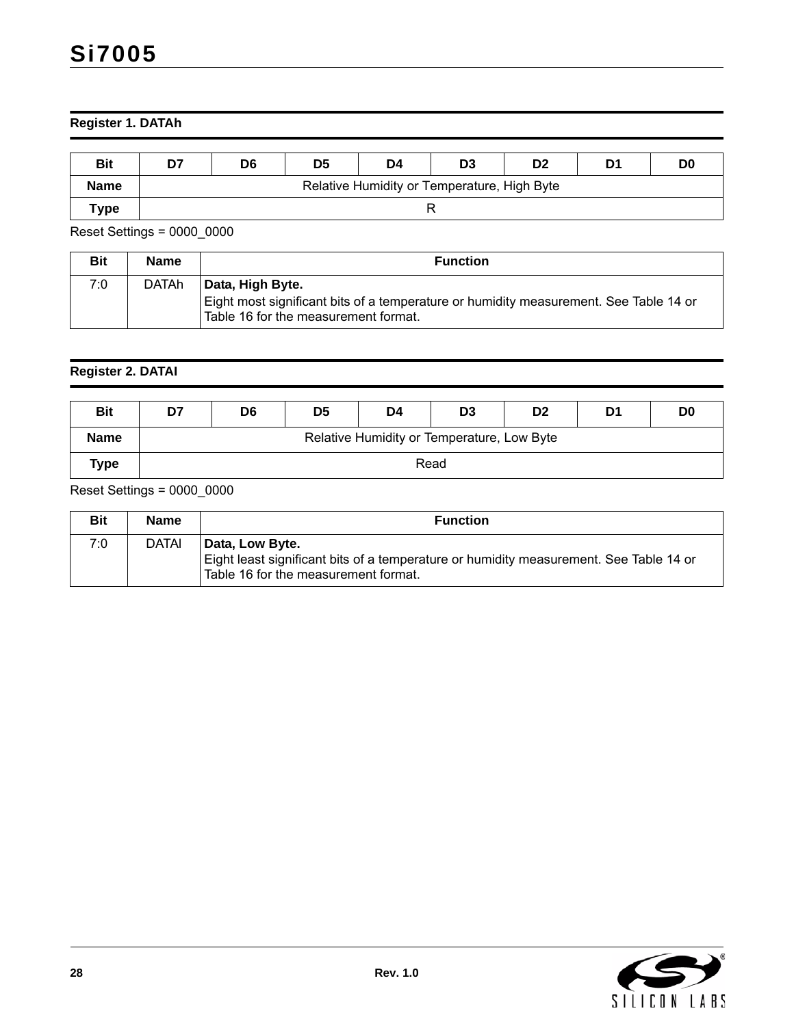# **Register 1. DATAh**

| <b>Bit</b>  | D7 | D6                                          | D <sub>5</sub> | D4 | D <sub>3</sub> | D <sub>2</sub> | D1 | D <sub>0</sub> |  |  |  |  |
|-------------|----|---------------------------------------------|----------------|----|----------------|----------------|----|----------------|--|--|--|--|
| <b>Name</b> |    | Relative Humidity or Temperature, High Byte |                |    |                |                |    |                |  |  |  |  |
| $\tau$ ype  |    |                                             |                |    |                |                |    |                |  |  |  |  |

Reset Settings = 0000\_0000

| <b>Bit</b> | <b>Name</b>  | <b>Function</b>                                                                                                                                   |
|------------|--------------|---------------------------------------------------------------------------------------------------------------------------------------------------|
| 7:0        | <b>DATAh</b> | Data, High Byte.<br>Eight most significant bits of a temperature or humidity measurement. See Table 14 or<br>Table 16 for the measurement format. |

### **Register 2. DATAI**

| <b>Bit</b>  | D7 | D <sub>6</sub> | D <sub>5</sub> | D4                                         | D <sub>3</sub> | D <sub>2</sub> | D1 | D <sub>0</sub> |
|-------------|----|----------------|----------------|--------------------------------------------|----------------|----------------|----|----------------|
| <b>Name</b> |    |                |                | Relative Humidity or Temperature, Low Byte |                |                |    |                |
| Type        |    |                |                | Read                                       |                |                |    |                |

Reset Settings = 0000\_0000

| Bit | <b>Name</b> | <b>Function</b>                                                                                                                                   |
|-----|-------------|---------------------------------------------------------------------------------------------------------------------------------------------------|
| 7:0 | DATAI       | Data, Low Byte.<br>Eight least significant bits of a temperature or humidity measurement. See Table 14 or<br>Table 16 for the measurement format. |

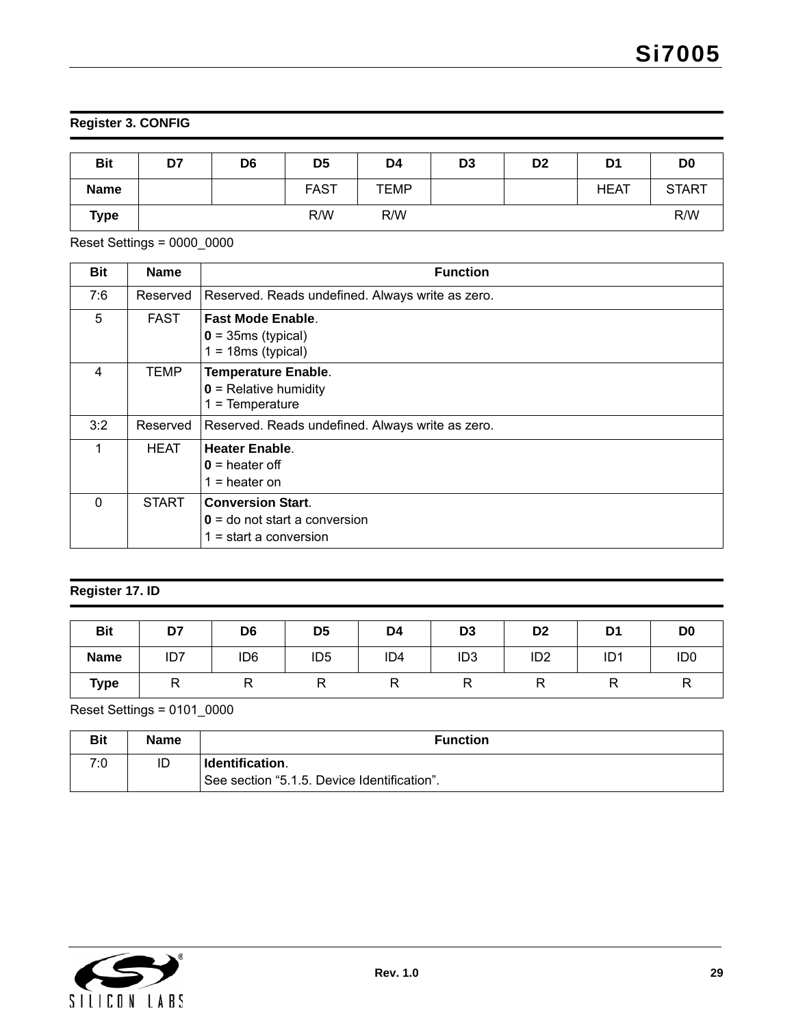# **Register 3. CONFIG**

| <b>Bit</b>  | D7 | D <sub>6</sub> | D <sub>5</sub> | D4          | D <sub>3</sub> | D <sub>2</sub> | D <sub>1</sub> | D <sub>0</sub> |
|-------------|----|----------------|----------------|-------------|----------------|----------------|----------------|----------------|
| <b>Name</b> |    |                | <b>FAST</b>    | <b>TEMP</b> |                |                | <b>HEAT</b>    | <b>START</b>   |
| <b>Type</b> |    |                | R/W            | R/W         |                |                |                | R/W            |

Reset Settings = 0000\_0000

| <b>Bit</b>   | <b>Name</b>  | <b>Function</b>                                                                         |
|--------------|--------------|-----------------------------------------------------------------------------------------|
| 7:6          | Reserved     | Reserved. Reads undefined. Always write as zero.                                        |
| 5            | <b>FAST</b>  | <b>Fast Mode Enable.</b><br>$0 = 35ms$ (typical)<br>$1 = 18ms$ (typical)                |
| 4            | TEMP         | <b>Temperature Enable.</b><br>$0$ = Relative humidity<br>$1 =$ Temperature              |
| 3:2          | Reserved     | Reserved. Reads undefined. Always write as zero.                                        |
| 1            | <b>HEAT</b>  | <b>Heater Enable.</b><br>$0 =$ heater off<br>$1 =$ heater on                            |
| $\mathbf{0}$ | <b>START</b> | <b>Conversion Start.</b><br>$0 =$ do not start a conversion<br>$1 =$ start a conversion |

### **Register 17. ID**

| <b>Bit</b>  | D7  | D <sub>6</sub>  | D <sub>5</sub>  | D4              | D <sub>3</sub>  | D <sub>2</sub>  | D <sub>1</sub>  | D <sub>0</sub>  |
|-------------|-----|-----------------|-----------------|-----------------|-----------------|-----------------|-----------------|-----------------|
| <b>Name</b> | ID7 | ID <sub>6</sub> | ID <sub>5</sub> | ID <sub>4</sub> | ID <sub>3</sub> | ID <sub>2</sub> | ID <sub>1</sub> | ID <sub>0</sub> |
| <b>Type</b> |     | R               |                 |                 |                 |                 |                 | ΓV.             |

Reset Settings = 0101\_0000

| <b>Bit</b> | <b>Name</b> | <b>Function</b>                             |
|------------|-------------|---------------------------------------------|
| 7.0        | ID          | Identification.                             |
|            |             | See section "5.1.5. Device Identification". |

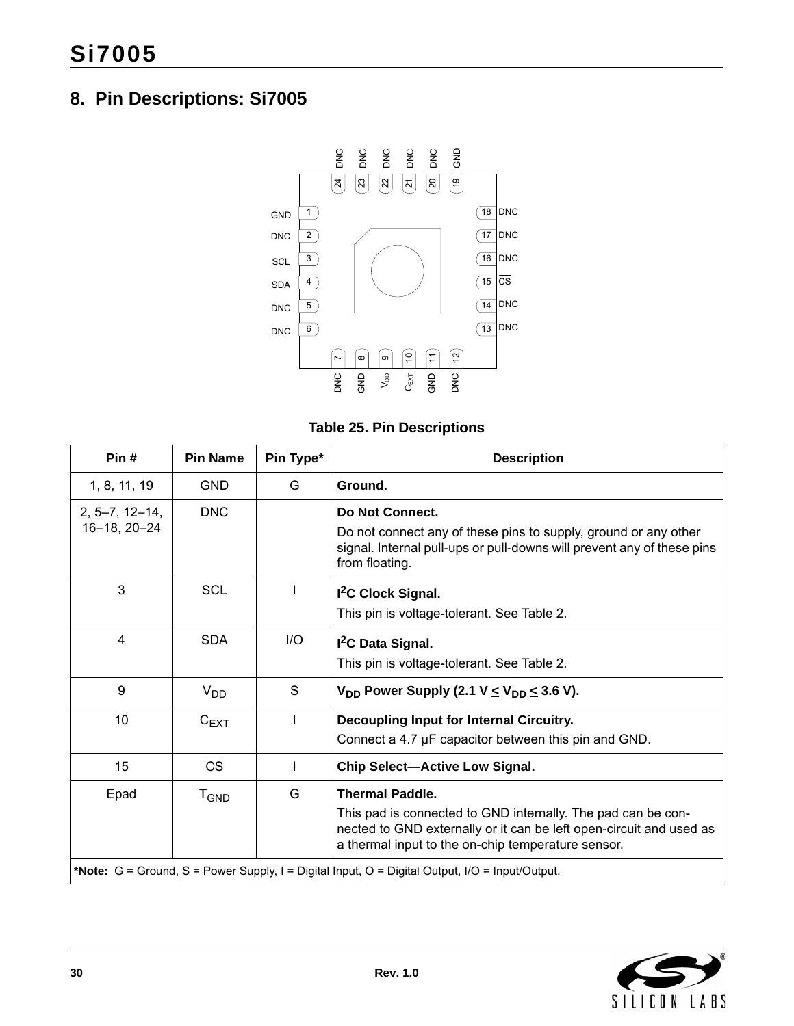# <span id="page-29-0"></span>**8. Pin Descriptions: Si7005**



### **Table 25. Pin Descriptions**

| Pin#                             | <b>Pin Name</b>        | Pin Type* | <b>Description</b>                                                                                                                                                                                                  |
|----------------------------------|------------------------|-----------|---------------------------------------------------------------------------------------------------------------------------------------------------------------------------------------------------------------------|
| 1, 8, 11, 19                     | <b>GND</b>             | G         | Ground.                                                                                                                                                                                                             |
| $2, 5-7, 12-14,$<br>16-18, 20-24 | <b>DNC</b>             |           | Do Not Connect.<br>Do not connect any of these pins to supply, ground or any other<br>signal. Internal pull-ups or pull-downs will prevent any of these pins<br>from floating.                                      |
| 3                                | <b>SCL</b>             |           | I <sup>2</sup> C Clock Signal.<br>This pin is voltage-tolerant. See Table 2.                                                                                                                                        |
| 4                                | <b>SDA</b>             | I/O       | I <sup>2</sup> C Data Signal.<br>This pin is voltage-tolerant. See Table 2.                                                                                                                                         |
| 9                                | V <sub>DD</sub>        | S         | $V_{DD}$ Power Supply (2.1 V $\leq$ V <sub>DD</sub> $\leq$ 3.6 V).                                                                                                                                                  |
| 10                               | $C_{EXT}$              |           | Decoupling Input for Internal Circuitry.<br>Connect a 4.7 µF capacitor between this pin and GND.                                                                                                                    |
| 15                               | $\overline{\text{CS}}$ |           | <b>Chip Select-Active Low Signal.</b>                                                                                                                                                                               |
| Epad                             | $T_{\mathsf{GND}}$     | G         | <b>Thermal Paddle.</b><br>This pad is connected to GND internally. The pad can be con-<br>nected to GND externally or it can be left open-circuit and used as<br>a thermal input to the on-chip temperature sensor. |
|                                  |                        |           | *Note: G = Ground, S = Power Supply, I = Digital Input, O = Digital Output, I/O = Input/Output.                                                                                                                     |

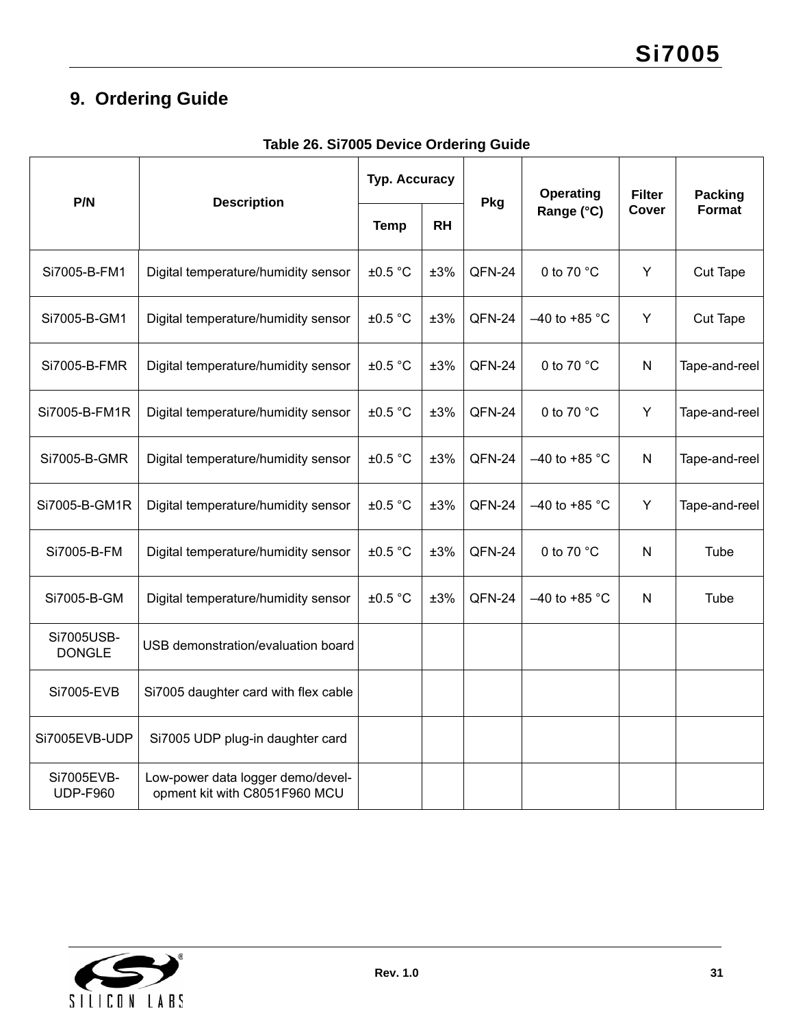# <span id="page-30-0"></span>**9. Ordering Guide**

- F

| P/N                           | <b>Description</b>                                                 | <b>Typ. Accuracy</b> |           | Pkg    | Operating       | <b>Filter</b> | <b>Packing</b> |
|-------------------------------|--------------------------------------------------------------------|----------------------|-----------|--------|-----------------|---------------|----------------|
|                               |                                                                    | <b>Temp</b>          | <b>RH</b> |        | Range (°C)      | <b>Cover</b>  | <b>Format</b>  |
| Si7005-B-FM1                  | Digital temperature/humidity sensor                                | ±0.5 °C              | ±3%       | QFN-24 | 0 to 70 °C      | Y             | Cut Tape       |
| Si7005-B-GM1                  | Digital temperature/humidity sensor                                | ±0.5 °C              | ±3%       | QFN-24 | $-40$ to +85 °C | Y             | Cut Tape       |
| Si7005-B-FMR                  | Digital temperature/humidity sensor                                | ±0.5 °C              | ±3%       | QFN-24 | 0 to 70 °C      | N             | Tape-and-reel  |
| Si7005-B-FM1R                 | Digital temperature/humidity sensor                                | ±0.5 °C              | ±3%       | QFN-24 | 0 to 70 $°C$    | Y             | Tape-and-reel  |
| Si7005-B-GMR                  | Digital temperature/humidity sensor                                | ±0.5 °C              | ±3%       | QFN-24 | $-40$ to +85 °C | $\mathsf{N}$  | Tape-and-reel  |
| Si7005-B-GM1R                 | Digital temperature/humidity sensor                                | ±0.5 °C              | ±3%       | QFN-24 | $-40$ to +85 °C | Y             | Tape-and-reel  |
| Si7005-B-FM                   | Digital temperature/humidity sensor                                | ±0.5 °C              | ±3%       | QFN-24 | 0 to 70 $°C$    | N             | Tube           |
| Si7005-B-GM                   | Digital temperature/humidity sensor                                | ±0.5 °C              | ±3%       | QFN-24 | $-40$ to +85 °C | N             | Tube           |
| Si7005USB-<br><b>DONGLE</b>   | USB demonstration/evaluation board                                 |                      |           |        |                 |               |                |
| Si7005-EVB                    | Si7005 daughter card with flex cable                               |                      |           |        |                 |               |                |
| Si7005EVB-UDP                 | Si7005 UDP plug-in daughter card                                   |                      |           |        |                 |               |                |
| Si7005EVB-<br><b>UDP-F960</b> | Low-power data logger demo/devel-<br>opment kit with C8051F960 MCU |                      |           |        |                 |               |                |

# **Table 26. Si7005 Device Ordering Guide**

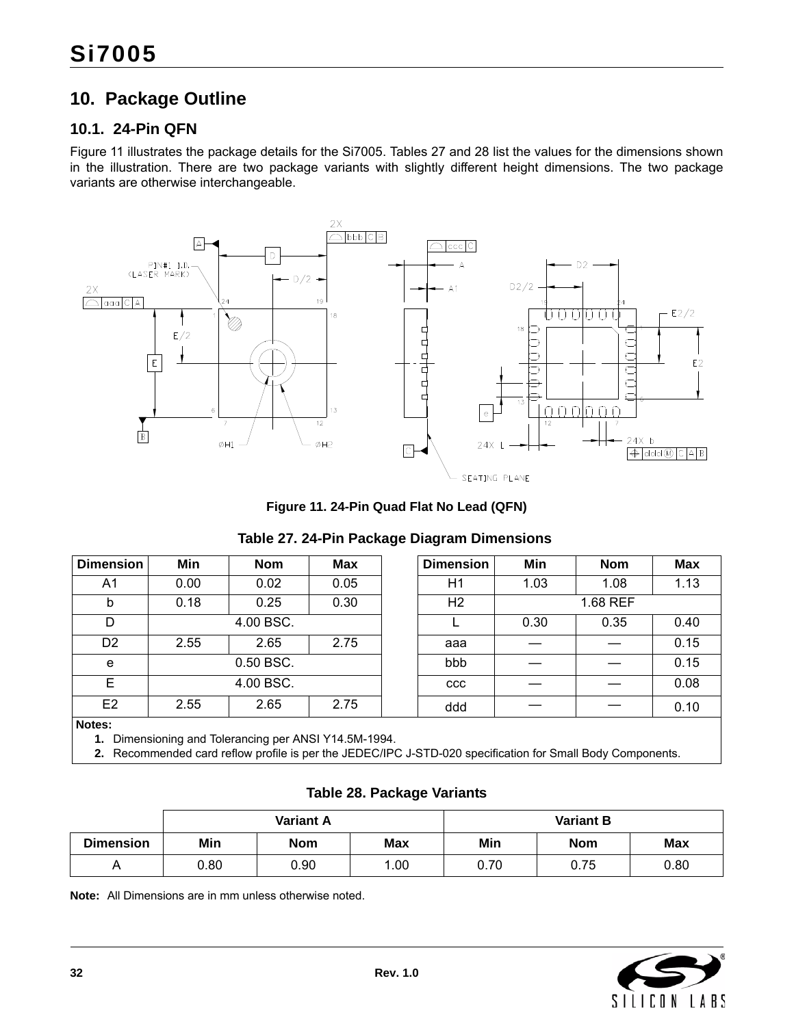# <span id="page-31-0"></span>**10. Package Outline**

### <span id="page-31-1"></span>**10.1. 24-Pin QFN**

[Figure 11](#page-31-2) illustrates the package details for the Si7005. Tables [27](#page-31-3) and [28](#page-31-4) list the values for the dimensions shown in the illustration. There are two package variants with slightly different height dimensions. The two package variants are otherwise interchangeable.



**Figure 11. 24-Pin Quad Flat No Lead (QFN)**

### **Table 27. 24-Pin Package Diagram Dimensions**

<span id="page-31-3"></span><span id="page-31-2"></span>

| <b>Dimension</b> | Min  | <b>Nom</b>                                         | <b>Max</b> | <b>Dimension</b> | Min  | <b>Nom</b> | Max  |
|------------------|------|----------------------------------------------------|------------|------------------|------|------------|------|
| A <sub>1</sub>   | 0.00 | 0.02                                               | 0.05       | H1               | 1.03 | 1.08       | 1.13 |
| b                | 0.18 | 0.25                                               | 0.30       | H <sub>2</sub>   |      | 1.68 REF   |      |
| D                |      | 4.00 BSC.                                          |            |                  | 0.30 | 0.35       | 0.40 |
| D <sub>2</sub>   | 2.55 | 2.65                                               | 2.75       | aaa              |      |            | 0.15 |
| e                |      | 0.50 BSC.                                          |            | bbb              |      |            | 0.15 |
| E                |      | 4.00 BSC.                                          |            | <b>CCC</b>       |      |            | 0.08 |
| E <sub>2</sub>   | 2.55 | 2.65                                               | 2.75       | ddd              |      |            | 0.10 |
| Notes:           |      |                                                    |            |                  |      |            |      |
| 1.               |      | Dimensioning and Tolerancing per ANSI Y14.5M-1994. |            |                  |      |            |      |

**2.** Recommended card reflow profile is per the JEDEC/IPC J-STD-020 specification for Small Body Components.

### **Table 28. Package Variants**

<span id="page-31-4"></span>

|                  |                                 | <b>Variant A</b> |      | <b>Variant B</b>                |      |      |
|------------------|---------------------------------|------------------|------|---------------------------------|------|------|
| <b>Dimension</b> | Min<br><b>Max</b><br><b>Nom</b> |                  |      | Min<br><b>Max</b><br><b>Nom</b> |      |      |
|                  | 0.80                            | 0.90             | 1.00 | 0.70                            | 0.75 | 0.80 |

**Note:** All Dimensions are in mm unless otherwise noted.

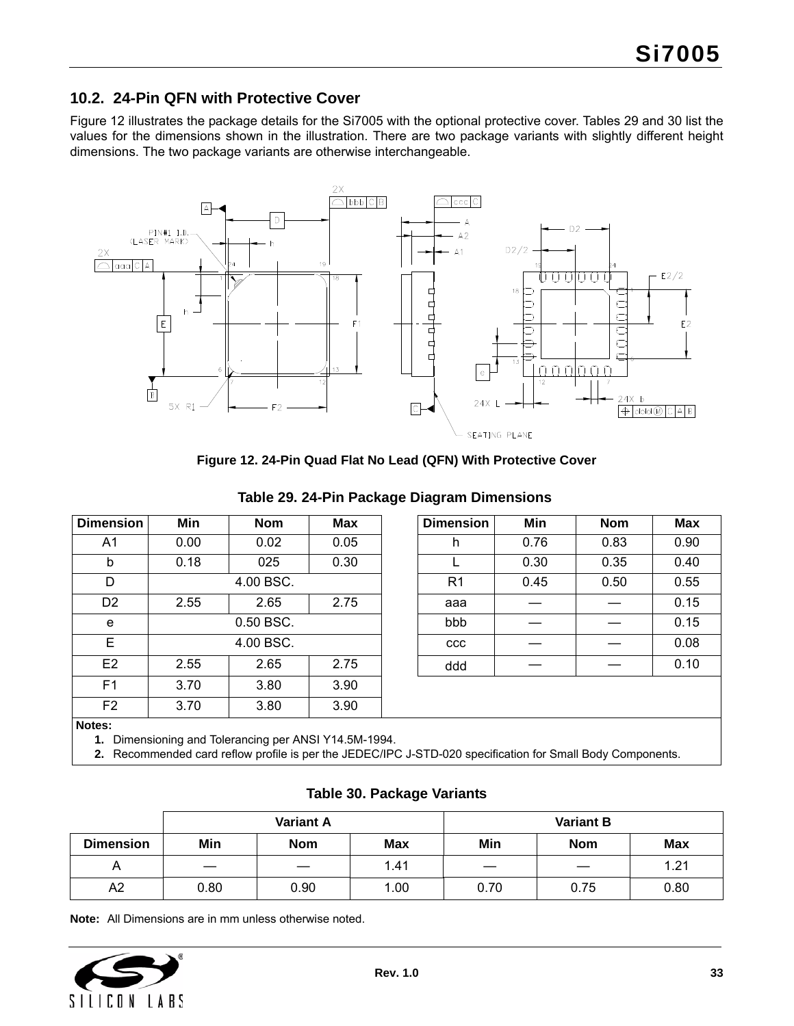### <span id="page-32-0"></span>**10.2. 24-Pin QFN with Protective Cover**

[Figure 12](#page-32-1) illustrates the package details for the Si7005 with the optional protective cover. Tables [29](#page-32-2) and [30](#page-32-3) list the values for the dimensions shown in the illustration. There are two package variants with slightly different height dimensions. The two package variants are otherwise interchangeable.



**Figure 12. 24-Pin Quad Flat No Lead (QFN) With Protective Cover**

<span id="page-32-2"></span><span id="page-32-1"></span>

| <b>Dimension</b> | Min  | <b>Nom</b>     | <b>Max</b> | <b>Dimension</b> | Min  | <b>Nom</b> | <b>Max</b> |
|------------------|------|----------------|------------|------------------|------|------------|------------|
| A1               | 0.00 | 0.02           | 0.05       | h                | 0.76 | 0.83       | 0.90       |
| b                | 0.18 | 025            | 0.30       |                  | 0.30 | 0.35       | 0.40       |
| D                |      | 4.00 BSC.      |            | R <sub>1</sub>   | 0.45 | 0.50       | 0.55       |
| D <sub>2</sub>   | 2.55 | 2.65           | 2.75       | aaa              |      |            | 0.15       |
| e                |      | 0.50 BSC.      |            | bbb              |      |            | 0.15       |
| E                |      | 4.00 BSC.      |            | <b>CCC</b>       |      |            | 0.08       |
| E <sub>2</sub>   | 2.55 | 2.65           | 2.75       | ddd              |      |            | 0.10       |
| F <sub>1</sub>   | 3.70 | 3.80           | 3.90       |                  |      |            |            |
| F <sub>2</sub>   | 3.70 | 3.80           | 3.90       |                  |      |            |            |
| Notes:           |      | $\blacksquare$ |            |                  |      |            |            |

#### **Table 29. 24-Pin Package Diagram Dimensions**

**1.** Dimensioning and Tolerancing per ANSI Y14.5M-1994.

**2.** Recommended card reflow profile is per the JEDEC/IPC J-STD-020 specification for Small Body Components.

### **Table 30. Package Variants**

<span id="page-32-3"></span>

|                  | <b>Variant A</b> |            |            | <b>Variant B</b>         |            |            |
|------------------|------------------|------------|------------|--------------------------|------------|------------|
| <b>Dimension</b> | Min              | <b>Nom</b> | <b>Max</b> | Min                      | <b>Nom</b> | <b>Max</b> |
| Α                |                  |            | 1.41       | $\overline{\phantom{a}}$ |            | 1.21       |
| A <sub>2</sub>   | 0.80             | 0.90       | 1.00       | 0.70                     | 0.75       | 0.80       |

**Note:** All Dimensions are in mm unless otherwise noted.

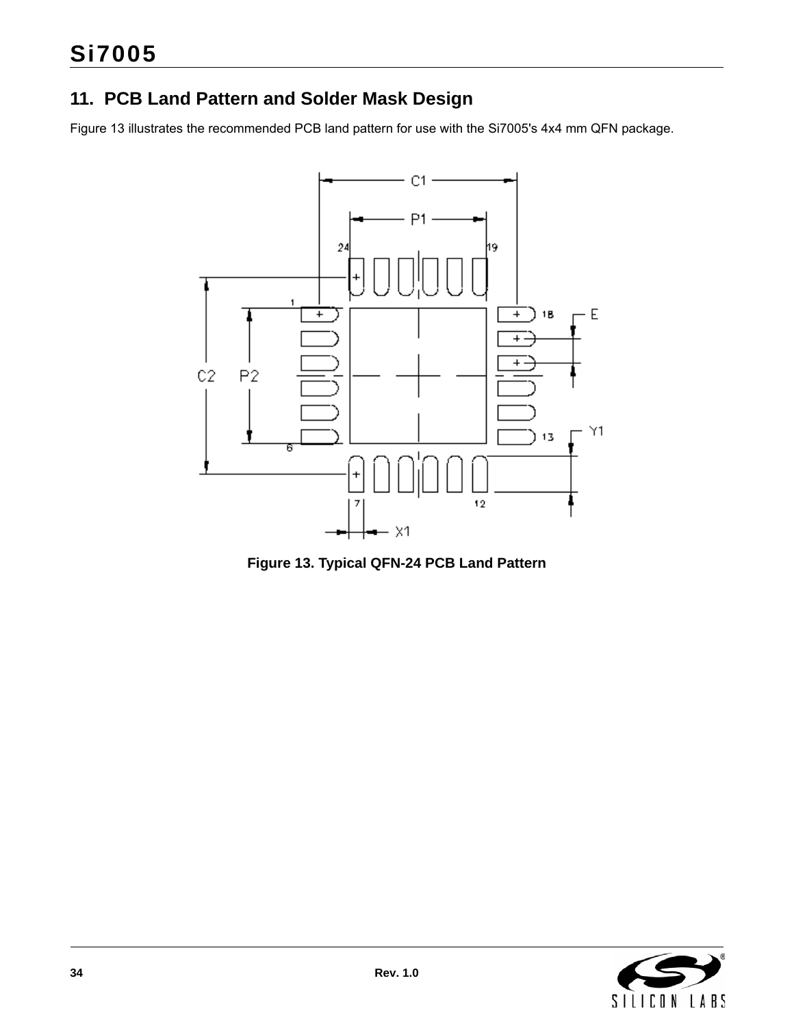# <span id="page-33-0"></span>**11. PCB Land Pattern and Solder Mask Design**

[Figure 13](#page-33-1) illustrates the recommended PCB land pattern for use with the Si7005's 4x4 mm QFN package.



<span id="page-33-1"></span>**Figure 13. Typical QFN-24 PCB Land Pattern**

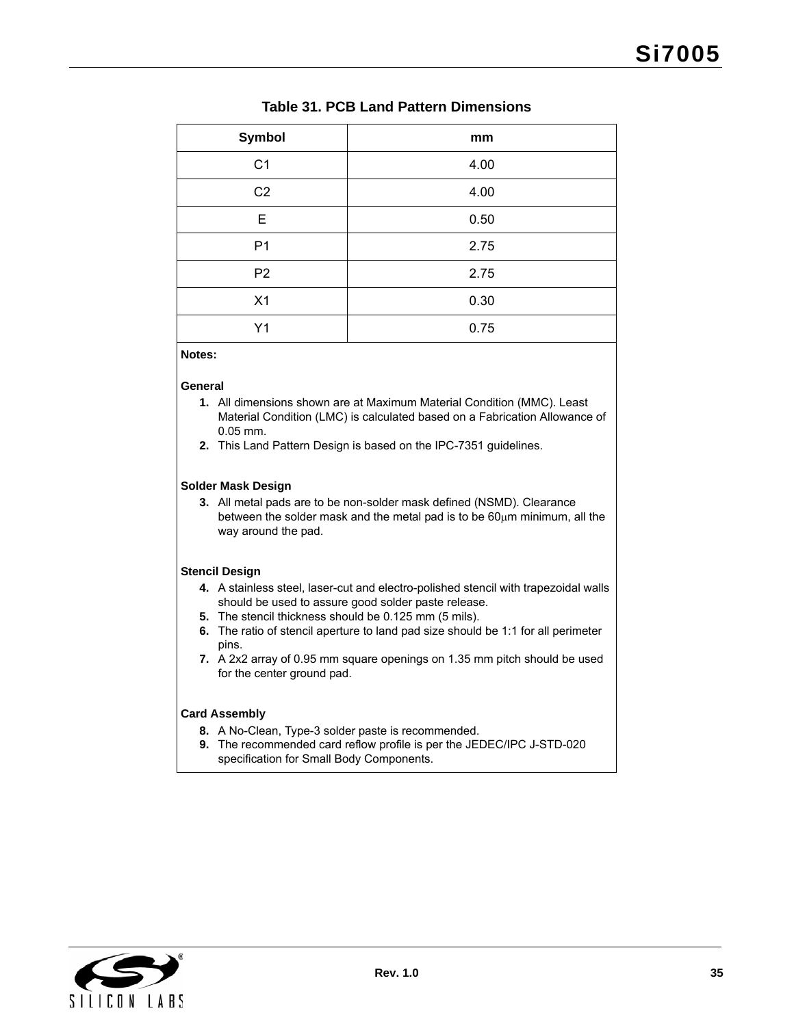### **Table 31. PCB Land Pattern Dimensions**

| Symbol         | mm   |
|----------------|------|
| C <sub>1</sub> | 4.00 |
| C <sub>2</sub> | 4.00 |
| E              | 0.50 |
| P <sub>1</sub> | 2.75 |
| P <sub>2</sub> | 2.75 |
| X1             | 0.30 |
| Y1             | 0.75 |

**Notes:**

#### **General**

- **1.** All dimensions shown are at Maximum Material Condition (MMC). Least Material Condition (LMC) is calculated based on a Fabrication Allowance of 0.05 mm.
- **2.** This Land Pattern Design is based on the IPC-7351 guidelines.

#### **Solder Mask Design**

**3.** All metal pads are to be non-solder mask defined (NSMD). Clearance between the solder mask and the metal pad is to be  $60\mu m$  minimum, all the way around the pad.

#### **Stencil Design**

- **4.** A stainless steel, laser-cut and electro-polished stencil with trapezoidal walls should be used to assure good solder paste release.
- **5.** The stencil thickness should be 0.125 mm (5 mils).
- **6.** The ratio of stencil aperture to land pad size should be 1:1 for all perimeter pins.
- **7.** A 2x2 array of 0.95 mm square openings on 1.35 mm pitch should be used for the center ground pad.

#### **Card Assembly**

- **8.** A No-Clean, Type-3 solder paste is recommended.
- **9.** The recommended card reflow profile is per the JEDEC/IPC J-STD-020 specification for Small Body Components.

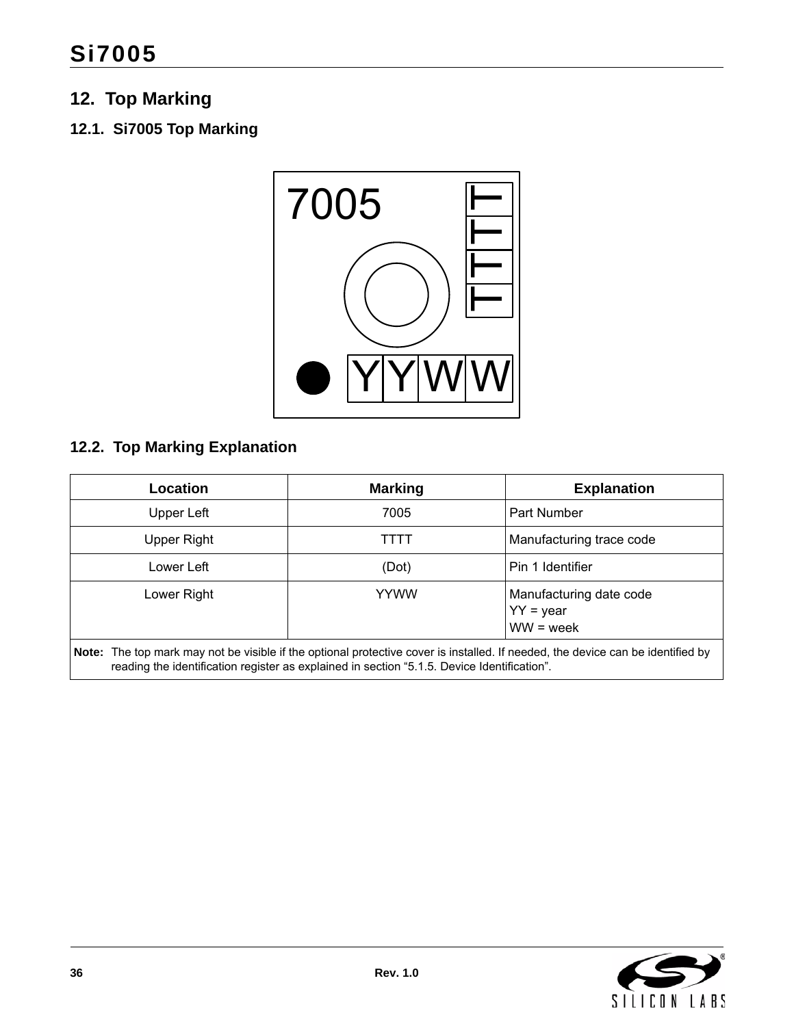# <span id="page-35-0"></span>**12. Top Marking**

# <span id="page-35-1"></span>**12.1. Si7005 Top Marking**



# <span id="page-35-2"></span>**12.2. Top Marking Explanation**

| Location                                                                                                                                                                                                                       | <b>Marking</b> | <b>Explanation</b>                                    |  |  |  |  |
|--------------------------------------------------------------------------------------------------------------------------------------------------------------------------------------------------------------------------------|----------------|-------------------------------------------------------|--|--|--|--|
| Upper Left                                                                                                                                                                                                                     | 7005           | Part Number                                           |  |  |  |  |
| Upper Right                                                                                                                                                                                                                    | TTTT           | Manufacturing trace code                              |  |  |  |  |
| Lower Left                                                                                                                                                                                                                     | (Dot)          | Pin 1 Identifier                                      |  |  |  |  |
| Lower Right                                                                                                                                                                                                                    | <b>YYWW</b>    | Manufacturing date code<br>$YY = year$<br>$WW = week$ |  |  |  |  |
| Note: The top mark may not be visible if the optional protective cover is installed. If needed, the device can be identified by<br>reading the identification register as explained in section "5.1.5. Device Identification". |                |                                                       |  |  |  |  |

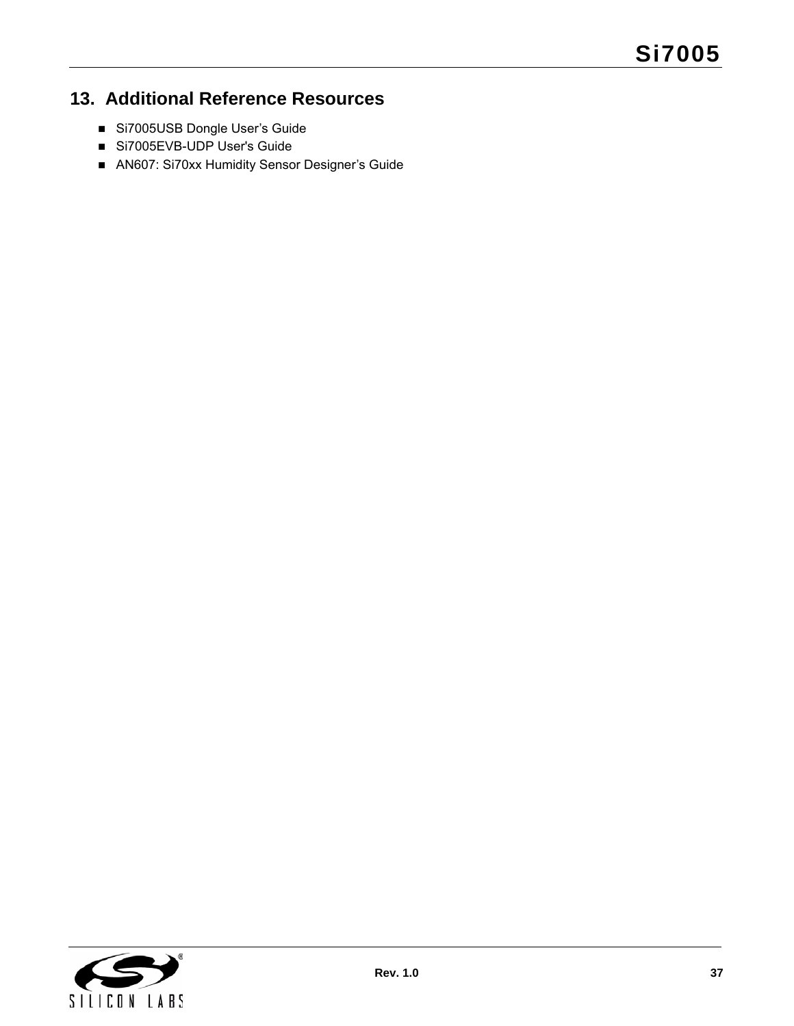# <span id="page-36-0"></span>**13. Additional Reference Resources**

- Si7005USB Dongle User's Guide
- Si7005EVB-UDP User's Guide
- AN607: Si70xx Humidity Sensor Designer's Guide

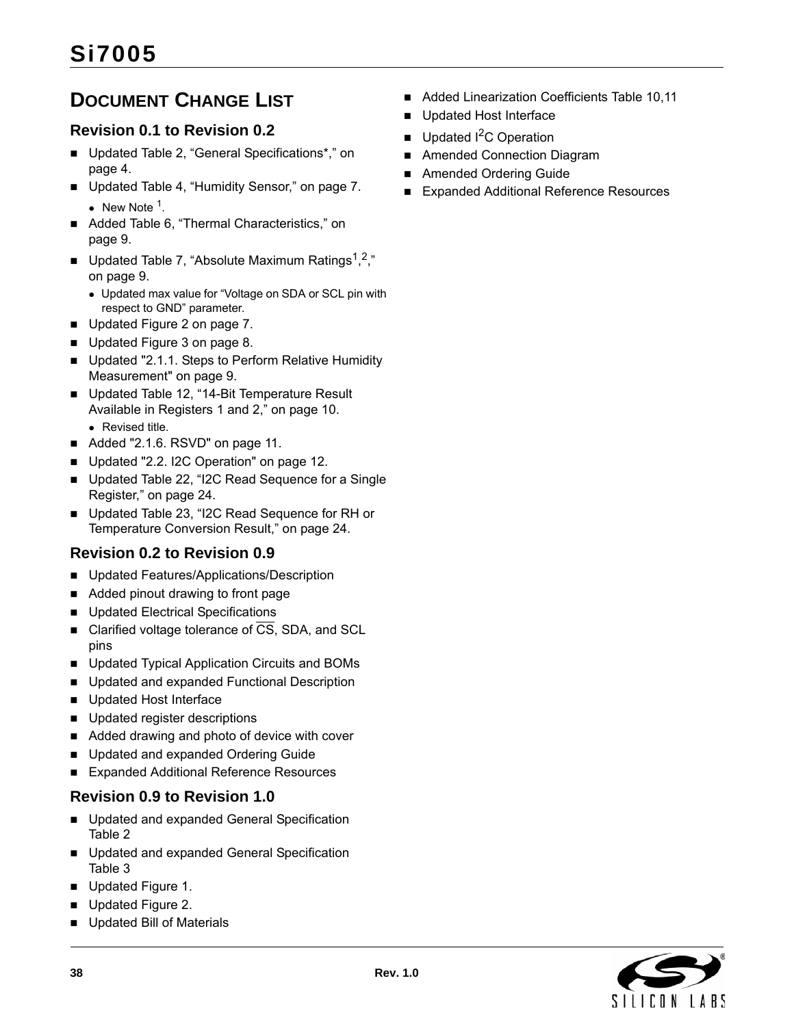# <span id="page-37-0"></span>**DOCUMENT CHANGE LIST**

# **Revision 0.1 to Revision 0.2**

- Updated Table 2, "General Specifications\*," on page 4.
- Updated [Table 4, "Humidity Sensor," on page 7.](#page-6-6) • New Note  $1$ .
- Added Table 6, "Thermal Characteristics," on [page 9.](#page-8-3)
- Updated [Table 7, "Absolute Maximum Ratings](#page-8-2)<sup>1,2</sup>," [on page 9.](#page-8-2)
	- Updated max value for "Voltage on SDA or SCL pin with respect to GND" parameter.
- Updated [Figure 2 on page 7.](#page-6-0)
- Updated [Figure 3 on page 8.](#page-7-2)
- Updated "2.1.1. Steps to Perform Relative Humidity Measurement" on page 9.
- Updated Table 12, "14-Bit Temperature Result Available in Registers 1 and 2," on page 10. • Revised title.
- Added "2.1.6. RSVD" on page 11.
- Updated "2.2. I2C Operation" on page 12.
- Updated [Table 22, "I2C Read Sequence for a Single](#page-23-0)  [Register," on page 24.](#page-23-0)
- Updated Table 23, "I2C Read Sequence for RH or [Temperature Conversion Result," on page 24.](#page-23-1)

# **Revision 0.2 to Revision 0.9**

- **Updated Features/Applications/Description**
- Added pinout drawing to front page
- Updated Electrical Specifications
- Clarified voltage tolerance of  $\overline{CS}$ , SDA, and SCL pins
- Updated Typical Application Circuits and BOMs
- **Updated and expanded Functional Description**
- Updated Host Interface
- **Updated register descriptions**
- Added drawing and photo of device with cover
- Updated and expanded Ordering Guide
- Expanded Additional Reference Resources

### **Revision 0.9 to Revision 1.0**

- **Updated and expanded General Specification** Table 2
- **Updated and expanded General Specification** Table 3
- Updated Figure 1.
- Updated Figure 2.
- **Updated Bill of Materials**
- Added Linearization Coefficients Table 10,11
- Updated Host Interface
- Updated <sup>2</sup>C Operation
- Amended Connection Diagram
- Amended Ordering Guide
- Expanded Additional Reference Resources

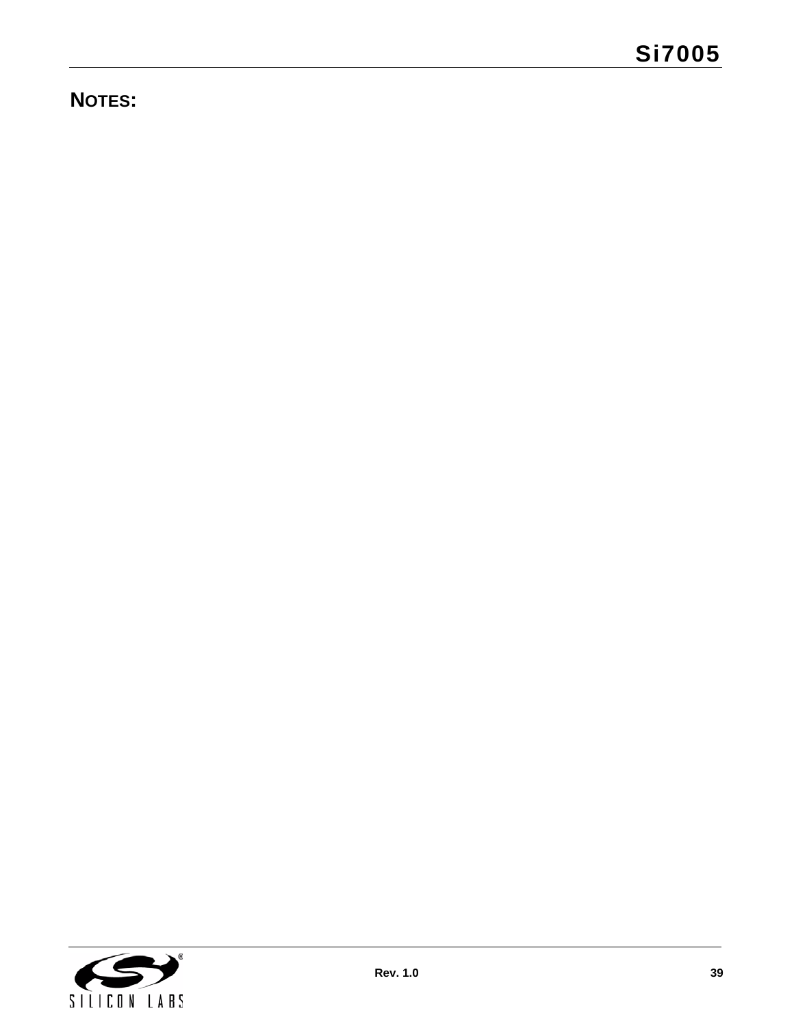# **NOTES:**